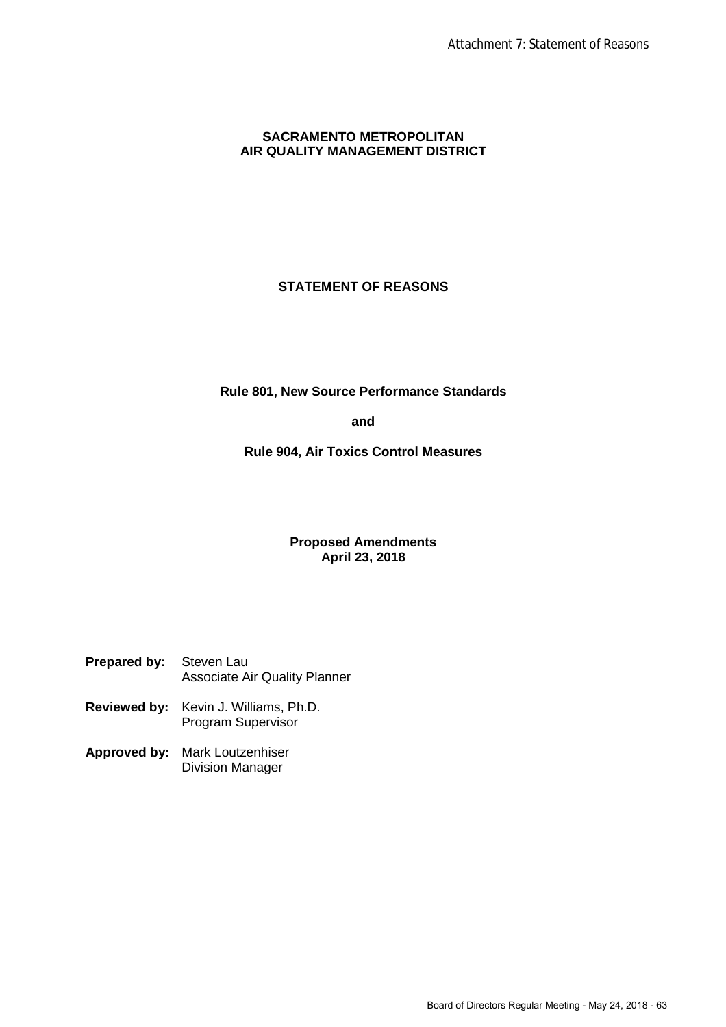# **SACRAMENTO METROPOLITAN AIR QUALITY MANAGEMENT DISTRICT**

# **STATEMENT OF REASONS**

**Rule 801, New Source Performance Standards**

**and**

**Rule 904, Air Toxics Control Measures**

# **Proposed Amendments April 23, 2018**

| <b>Prepared by:</b> Steven Lau |                               |
|--------------------------------|-------------------------------|
|                                | Associate Air Quality Planner |

- **Reviewed by:** Kevin J. Williams, Ph.D. Program Supervisor
- **Approved by:** Mark Loutzenhiser Division Manager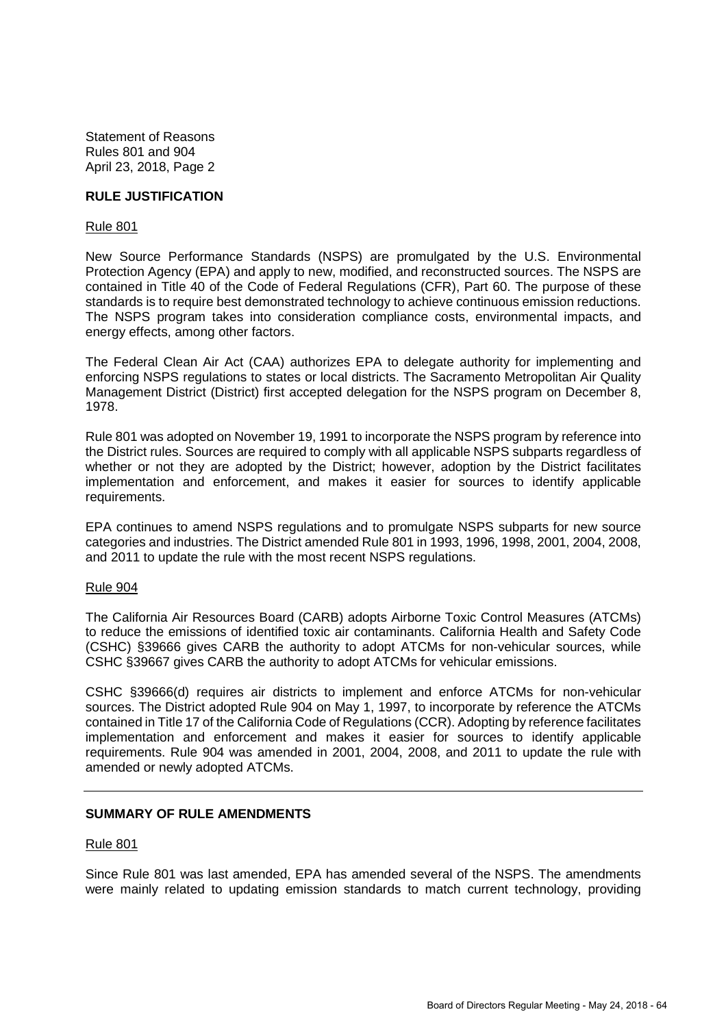#### **RULE JUSTIFICATION**

#### Rule 801

New Source Performance Standards (NSPS) are promulgated by the U.S. Environmental Protection Agency (EPA) and apply to new, modified, and reconstructed sources. The NSPS are contained in Title 40 of the Code of Federal Regulations (CFR), Part 60. The purpose of these standards is to require best demonstrated technology to achieve continuous emission reductions. The NSPS program takes into consideration compliance costs, environmental impacts, and energy effects, among other factors.

The Federal Clean Air Act (CAA) authorizes EPA to delegate authority for implementing and enforcing NSPS regulations to states or local districts. The Sacramento Metropolitan Air Quality Management District (District) first accepted delegation for the NSPS program on December 8, 1978.

Rule 801 was adopted on November 19, 1991 to incorporate the NSPS program by reference into the District rules. Sources are required to comply with all applicable NSPS subparts regardless of whether or not they are adopted by the District; however, adoption by the District facilitates implementation and enforcement, and makes it easier for sources to identify applicable requirements.

EPA continues to amend NSPS regulations and to promulgate NSPS subparts for new source categories and industries. The District amended Rule 801 in 1993, 1996, 1998, 2001, 2004, 2008, and 2011 to update the rule with the most recent NSPS regulations.

#### Rule 904

The California Air Resources Board (CARB) adopts Airborne Toxic Control Measures (ATCMs) to reduce the emissions of identified toxic air contaminants. California Health and Safety Code (CSHC) §39666 gives CARB the authority to adopt ATCMs for non-vehicular sources, while CSHC §39667 gives CARB the authority to adopt ATCMs for vehicular emissions.

CSHC §39666(d) requires air districts to implement and enforce ATCMs for non-vehicular sources. The District adopted Rule 904 on May 1, 1997, to incorporate by reference the ATCMs contained in Title 17 of the California Code of Regulations (CCR). Adopting by reference facilitates implementation and enforcement and makes it easier for sources to identify applicable requirements. Rule 904 was amended in 2001, 2004, 2008, and 2011 to update the rule with amended or newly adopted ATCMs.

### **SUMMARY OF RULE AMENDMENTS**

#### Rule 801

Since Rule 801 was last amended, EPA has amended several of the NSPS. The amendments were mainly related to updating emission standards to match current technology, providing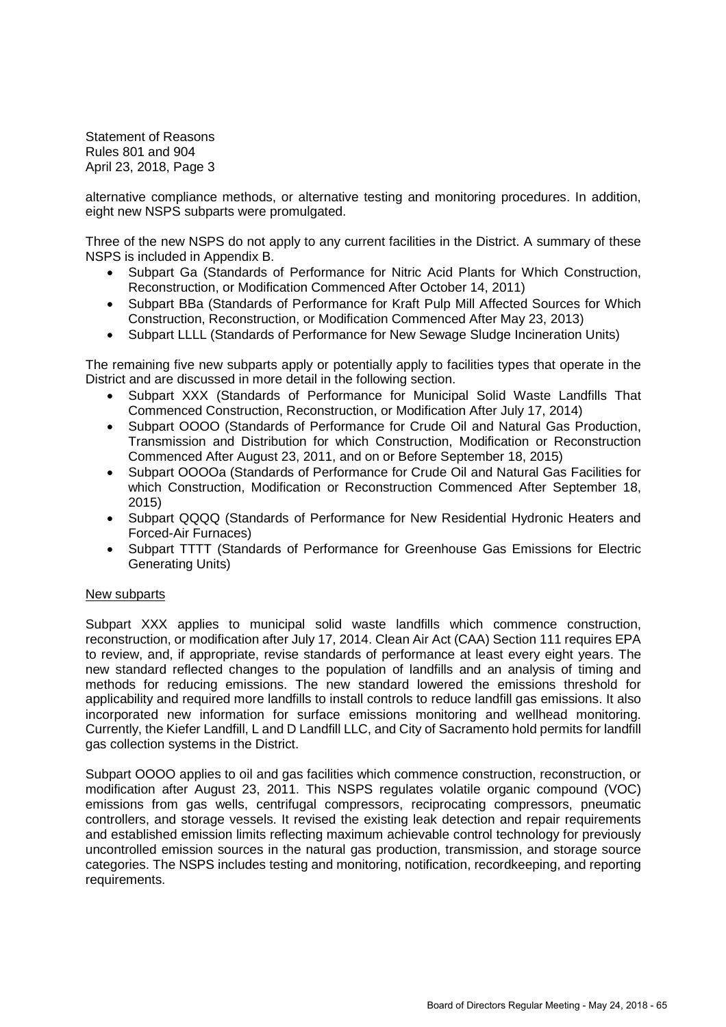alternative compliance methods, or alternative testing and monitoring procedures. In addition, eight new NSPS subparts were promulgated.

Three of the new NSPS do not apply to any current facilities in the District. A summary of these NSPS is included in Appendix B.

- Subpart Ga (Standards of Performance for Nitric Acid Plants for Which Construction, Reconstruction, or Modification Commenced After October 14, 2011)
- Subpart BBa (Standards of Performance for Kraft Pulp Mill Affected Sources for Which Construction, Reconstruction, or Modification Commenced After May 23, 2013)
- Subpart LLLL (Standards of Performance for New Sewage Sludge Incineration Units)

The remaining five new subparts apply or potentially apply to facilities types that operate in the District and are discussed in more detail in the following section.

- Subpart XXX (Standards of Performance for Municipal Solid Waste Landfills That Commenced Construction, Reconstruction, or Modification After July 17, 2014)
- Subpart OOOO (Standards of Performance for Crude Oil and Natural Gas Production, Transmission and Distribution for which Construction, Modification or Reconstruction Commenced After August 23, 2011, and on or Before September 18, 2015)
- Subpart OOOOa (Standards of Performance for Crude Oil and Natural Gas Facilities for which Construction, Modification or Reconstruction Commenced After September 18, 2015)
- Subpart QQQQ (Standards of Performance for New Residential Hydronic Heaters and Forced-Air Furnaces)
- Subpart TTTT (Standards of Performance for Greenhouse Gas Emissions for Electric Generating Units)

#### New subparts

Subpart XXX applies to municipal solid waste landfills which commence construction, reconstruction, or modification after July 17, 2014. Clean Air Act (CAA) Section 111 requires EPA to review, and, if appropriate, revise standards of performance at least every eight years. The new standard reflected changes to the population of landfills and an analysis of timing and methods for reducing emissions. The new standard lowered the emissions threshold for applicability and required more landfills to install controls to reduce landfill gas emissions. It also incorporated new information for surface emissions monitoring and wellhead monitoring. Currently, the Kiefer Landfill, L and D Landfill LLC, and City of Sacramento hold permits for landfill gas collection systems in the District.

Subpart OOOO applies to oil and gas facilities which commence construction, reconstruction, or modification after August 23, 2011. This NSPS regulates volatile organic compound (VOC) emissions from gas wells, centrifugal compressors, reciprocating compressors, pneumatic controllers, and storage vessels. It revised the existing leak detection and repair requirements and established emission limits reflecting maximum achievable control technology for previously uncontrolled emission sources in the natural gas production, transmission, and storage source categories. The NSPS includes testing and monitoring, notification, recordkeeping, and reporting requirements.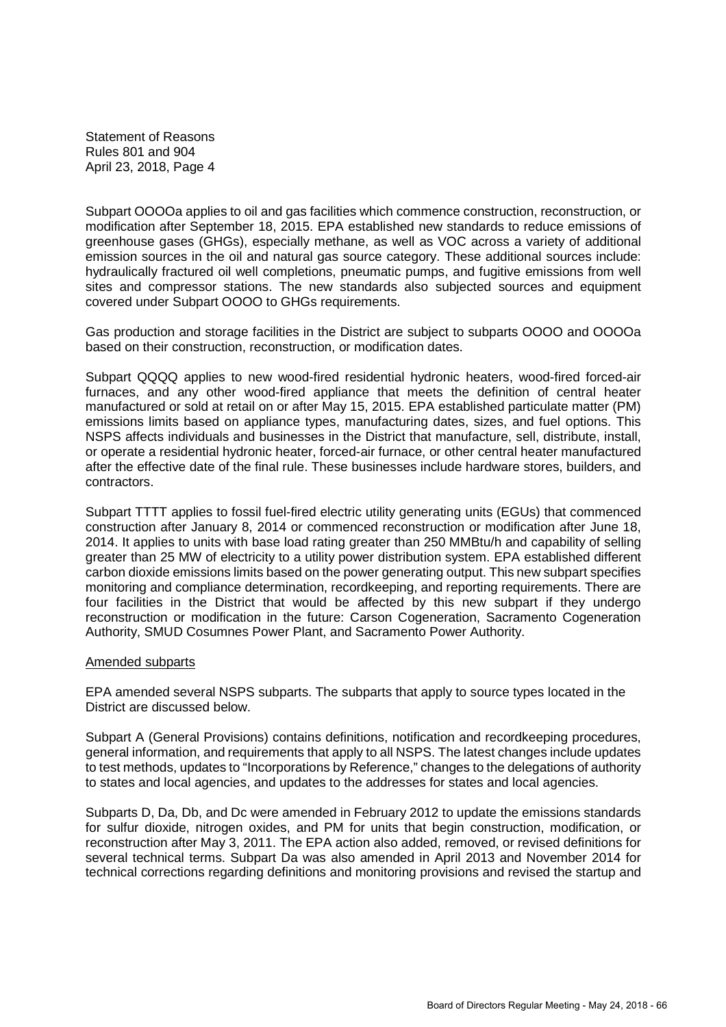Subpart OOOOa applies to oil and gas facilities which commence construction, reconstruction, or modification after September 18, 2015. EPA established new standards to reduce emissions of greenhouse gases (GHGs), especially methane, as well as VOC across a variety of additional emission sources in the oil and natural gas source category. These additional sources include: hydraulically fractured oil well completions, pneumatic pumps, and fugitive emissions from well sites and compressor stations. The new standards also subjected sources and equipment covered under Subpart OOOO to GHGs requirements.

Gas production and storage facilities in the District are subject to subparts OOOO and OOOOa based on their construction, reconstruction, or modification dates.

Subpart QQQQ applies to new wood-fired residential hydronic heaters, wood-fired forced-air furnaces, and any other wood-fired appliance that meets the definition of central heater manufactured or sold at retail on or after May 15, 2015. EPA established particulate matter (PM) emissions limits based on appliance types, manufacturing dates, sizes, and fuel options. This NSPS affects individuals and businesses in the District that manufacture, sell, distribute, install, or operate a residential hydronic heater, forced-air furnace, or other central heater manufactured after the effective date of the final rule. These businesses include hardware stores, builders, and contractors.

Subpart TTTT applies to fossil fuel-fired electric utility generating units (EGUs) that commenced construction after January 8, 2014 or commenced reconstruction or modification after June 18, 2014. It applies to units with base load rating greater than 250 MMBtu/h and capability of selling greater than 25 MW of electricity to a utility power distribution system. EPA established different carbon dioxide emissions limits based on the power generating output. This new subpart specifies monitoring and compliance determination, recordkeeping, and reporting requirements. There are four facilities in the District that would be affected by this new subpart if they undergo reconstruction or modification in the future: Carson Cogeneration, Sacramento Cogeneration Authority, SMUD Cosumnes Power Plant, and Sacramento Power Authority.

#### Amended subparts

EPA amended several NSPS subparts. The subparts that apply to source types located in the District are discussed below.

Subpart A (General Provisions) contains definitions, notification and recordkeeping procedures, general information, and requirements that apply to all NSPS. The latest changes include updates to test methods, updates to "Incorporations by Reference," changes to the delegations of authority to states and local agencies, and updates to the addresses for states and local agencies.

Subparts D, Da, Db, and Dc were amended in February 2012 to update the emissions standards for sulfur dioxide, nitrogen oxides, and PM for units that begin construction, modification, or reconstruction after May 3, 2011. The EPA action also added, removed, or revised definitions for several technical terms. Subpart Da was also amended in April 2013 and November 2014 for technical corrections regarding definitions and monitoring provisions and revised the startup and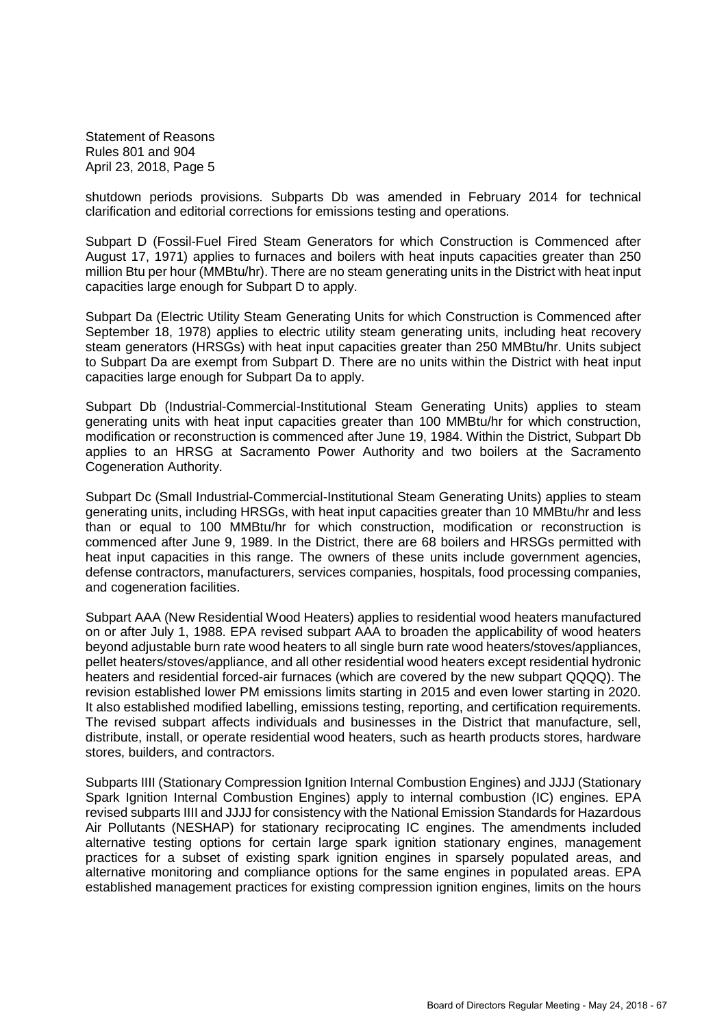shutdown periods provisions. Subparts Db was amended in February 2014 for technical clarification and editorial corrections for emissions testing and operations.

Subpart D (Fossil-Fuel Fired Steam Generators for which Construction is Commenced after August 17, 1971) applies to furnaces and boilers with heat inputs capacities greater than 250 million Btu per hour (MMBtu/hr). There are no steam generating units in the District with heat input capacities large enough for Subpart D to apply.

Subpart Da (Electric Utility Steam Generating Units for which Construction is Commenced after September 18, 1978) applies to electric utility steam generating units, including heat recovery steam generators (HRSGs) with heat input capacities greater than 250 MMBtu/hr. Units subject to Subpart Da are exempt from Subpart D. There are no units within the District with heat input capacities large enough for Subpart Da to apply.

Subpart Db (Industrial-Commercial-Institutional Steam Generating Units) applies to steam generating units with heat input capacities greater than 100 MMBtu/hr for which construction, modification or reconstruction is commenced after June 19, 1984. Within the District, Subpart Db applies to an HRSG at Sacramento Power Authority and two boilers at the Sacramento Cogeneration Authority.

Subpart Dc (Small Industrial-Commercial-Institutional Steam Generating Units) applies to steam generating units, including HRSGs, with heat input capacities greater than 10 MMBtu/hr and less than or equal to 100 MMBtu/hr for which construction, modification or reconstruction is commenced after June 9, 1989. In the District, there are 68 boilers and HRSGs permitted with heat input capacities in this range. The owners of these units include government agencies, defense contractors, manufacturers, services companies, hospitals, food processing companies, and cogeneration facilities.

Subpart AAA (New Residential Wood Heaters) applies to residential wood heaters manufactured on or after July 1, 1988. EPA revised subpart AAA to broaden the applicability of wood heaters beyond adjustable burn rate wood heaters to all single burn rate wood heaters/stoves/appliances, pellet heaters/stoves/appliance, and all other residential wood heaters except residential hydronic heaters and residential forced-air furnaces (which are covered by the new subpart QQQQ). The revision established lower PM emissions limits starting in 2015 and even lower starting in 2020. It also established modified labelling, emissions testing, reporting, and certification requirements. The revised subpart affects individuals and businesses in the District that manufacture, sell, distribute, install, or operate residential wood heaters, such as hearth products stores, hardware stores, builders, and contractors.

Subparts IIII (Stationary Compression Ignition Internal Combustion Engines) and JJJJ (Stationary Spark Ignition Internal Combustion Engines) apply to internal combustion (IC) engines. EPA revised subparts IIII and JJJJ for consistency with the National Emission Standards for Hazardous Air Pollutants (NESHAP) for stationary reciprocating IC engines. The amendments included alternative testing options for certain large spark ignition stationary engines, management practices for a subset of existing spark ignition engines in sparsely populated areas, and alternative monitoring and compliance options for the same engines in populated areas. EPA established management practices for existing compression ignition engines, limits on the hours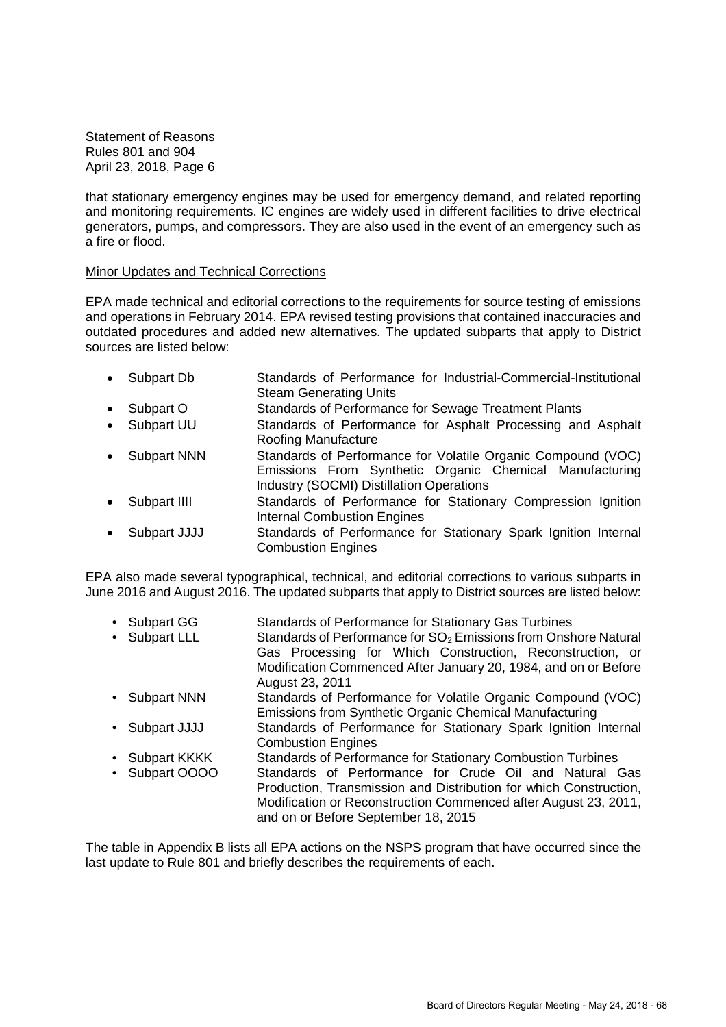that stationary emergency engines may be used for emergency demand, and related reporting and monitoring requirements. IC engines are widely used in different facilities to drive electrical generators, pumps, and compressors. They are also used in the event of an emergency such as a fire or flood.

#### Minor Updates and Technical Corrections

EPA made technical and editorial corrections to the requirements for source testing of emissions and operations in February 2014. EPA revised testing provisions that contained inaccuracies and outdated procedures and added new alternatives. The updated subparts that apply to District sources are listed below:

- Subpart Db Standards of Performance for Industrial-Commercial-Institutional Steam Generating Units
- Subpart O Standards of Performance for Sewage Treatment Plants
- Subpart UU Standards of Performance for Asphalt Processing and Asphalt Roofing Manufacture
- Subpart NNN Standards of Performance for Volatile Organic Compound (VOC) Emissions From Synthetic Organic Chemical Manufacturing Industry (SOCMI) Distillation Operations
- Subpart IIII Standards of Performance for Stationary Compression Ignition Internal Combustion Engines
- Subpart JJJJ Standards of Performance for Stationary Spark Ignition Internal Combustion Engines

EPA also made several typographical, technical, and editorial corrections to various subparts in June 2016 and August 2016. The updated subparts that apply to District sources are listed below:

- Subpart GG Standards of Performance for Stationary Gas Turbines
- Subpart LLL Standards of Performance for  $SO<sub>2</sub>$  Emissions from Onshore Natural Gas Processing for Which Construction, Reconstruction, or Modification Commenced After January 20, 1984, and on or Before August 23, 2011
- Subpart NNN Standards of Performance for Volatile Organic Compound (VOC) Emissions from Synthetic Organic Chemical Manufacturing
- Subpart JJJJ Standards of Performance for Stationary Spark Ignition Internal Combustion Engines
- Subpart KKKK Standards of Performance for Stationary Combustion Turbines • Subpart OOOO Standards of Performance for Crude Oil and Natural Gas Production, Transmission and Distribution for which Construction, Modification or Reconstruction Commenced after August 23, 2011, and on or Before September 18, 2015

The table in Appendix B lists all EPA actions on the NSPS program that have occurred since the last update to Rule 801 and briefly describes the requirements of each.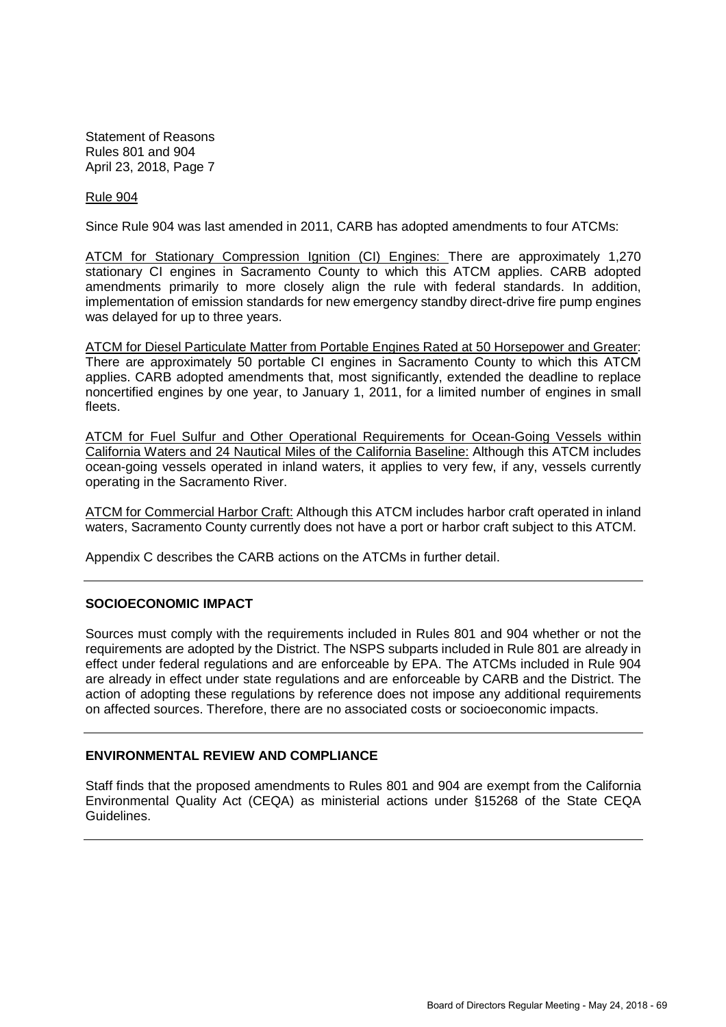#### Rule 904

Since Rule 904 was last amended in 2011, CARB has adopted amendments to four ATCMs:

ATCM for Stationary Compression Ignition (CI) Engines: There are approximately 1,270 stationary CI engines in Sacramento County to which this ATCM applies. CARB adopted amendments primarily to more closely align the rule with federal standards. In addition, implementation of emission standards for new emergency standby direct-drive fire pump engines was delayed for up to three years.

ATCM for Diesel Particulate Matter from Portable Engines Rated at 50 Horsepower and Greater: There are approximately 50 portable CI engines in Sacramento County to which this ATCM applies. CARB adopted amendments that, most significantly, extended the deadline to replace noncertified engines by one year, to January 1, 2011, for a limited number of engines in small fleets.

ATCM for Fuel Sulfur and Other Operational Requirements for Ocean-Going Vessels within California Waters and 24 Nautical Miles of the California Baseline: Although this ATCM includes ocean-going vessels operated in inland waters, it applies to very few, if any, vessels currently operating in the Sacramento River.

ATCM for Commercial Harbor Craft: Although this ATCM includes harbor craft operated in inland waters, Sacramento County currently does not have a port or harbor craft subject to this ATCM.

Appendix C describes the CARB actions on the ATCMs in further detail.

#### **SOCIOECONOMIC IMPACT**

Sources must comply with the requirements included in Rules 801 and 904 whether or not the requirements are adopted by the District. The NSPS subparts included in Rule 801 are already in effect under federal regulations and are enforceable by EPA. The ATCMs included in Rule 904 are already in effect under state regulations and are enforceable by CARB and the District. The action of adopting these regulations by reference does not impose any additional requirements on affected sources. Therefore, there are no associated costs or socioeconomic impacts.

### **ENVIRONMENTAL REVIEW AND COMPLIANCE**

Staff finds that the proposed amendments to Rules 801 and 904 are exempt from the California Environmental Quality Act (CEQA) as ministerial actions under §15268 of the State CEQA Guidelines.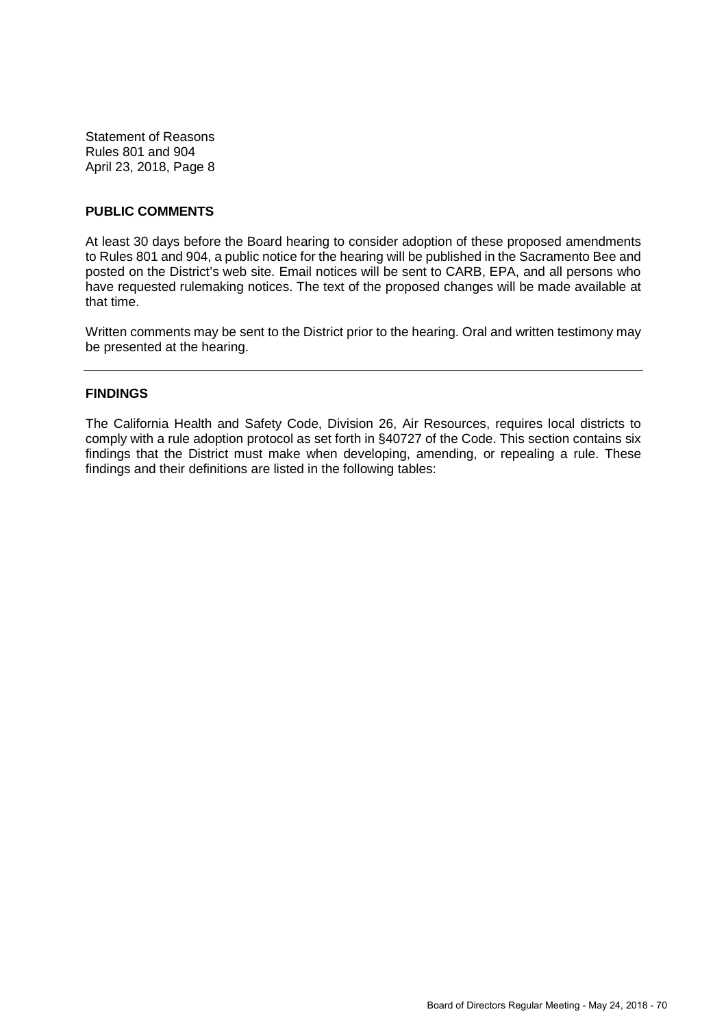# **PUBLIC COMMENTS**

At least 30 days before the Board hearing to consider adoption of these proposed amendments to Rules 801 and 904, a public notice for the hearing will be published in the Sacramento Bee and posted on the District's web site. Email notices will be sent to CARB, EPA, and all persons who have requested rulemaking notices. The text of the proposed changes will be made available at that time.

Written comments may be sent to the District prior to the hearing. Oral and written testimony may be presented at the hearing.

# **FINDINGS**

The California Health and Safety Code, Division 26, Air Resources, requires local districts to comply with a rule adoption protocol as set forth in §40727 of the Code. This section contains six findings that the District must make when developing, amending, or repealing a rule. These findings and their definitions are listed in the following tables: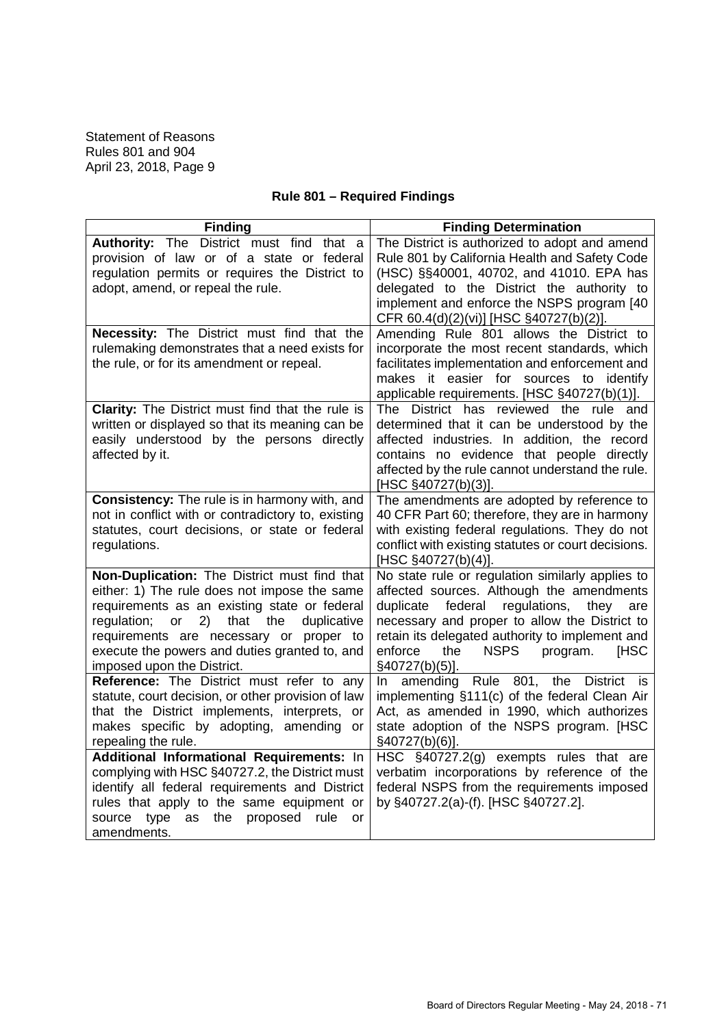# **Rule 801 – Required Findings**

| <b>Finding</b>                                                                                                                                                                                                                                                                                                                  | <b>Finding Determination</b>                                                                                                                                                                                                                                                                                                    |
|---------------------------------------------------------------------------------------------------------------------------------------------------------------------------------------------------------------------------------------------------------------------------------------------------------------------------------|---------------------------------------------------------------------------------------------------------------------------------------------------------------------------------------------------------------------------------------------------------------------------------------------------------------------------------|
| Authority: The District must find that a<br>provision of law or of a state or federal<br>regulation permits or requires the District to<br>adopt, amend, or repeal the rule.                                                                                                                                                    | The District is authorized to adopt and amend<br>Rule 801 by California Health and Safety Code<br>(HSC) §§40001, 40702, and 41010. EPA has<br>delegated to the District the authority to<br>implement and enforce the NSPS program [40<br>CFR 60.4(d)(2)(vi)] [HSC §40727(b)(2)].                                               |
| Necessity: The District must find that the<br>rulemaking demonstrates that a need exists for<br>the rule, or for its amendment or repeal.                                                                                                                                                                                       | Amending Rule 801 allows the District to<br>incorporate the most recent standards, which<br>facilitates implementation and enforcement and<br>makes it easier for sources to identify<br>applicable requirements. [HSC §40727(b)(1)].                                                                                           |
| Clarity: The District must find that the rule is<br>written or displayed so that its meaning can be<br>easily understood by the persons directly<br>affected by it.                                                                                                                                                             | The District has reviewed the rule and<br>determined that it can be understood by the<br>affected industries. In addition, the record<br>contains no evidence that people directly<br>affected by the rule cannot understand the rule.<br>[HSC §40727(b)(3)].                                                                   |
| Consistency: The rule is in harmony with, and<br>not in conflict with or contradictory to, existing<br>statutes, court decisions, or state or federal<br>regulations.                                                                                                                                                           | The amendments are adopted by reference to<br>40 CFR Part 60; therefore, they are in harmony<br>with existing federal regulations. They do not<br>conflict with existing statutes or court decisions.<br>[HSC §40727(b)(4)].                                                                                                    |
| Non-Duplication: The District must find that<br>either: 1) The rule does not impose the same<br>requirements as an existing state or federal<br>duplicative<br>regulation;<br>or<br>2)<br>that<br>the<br>requirements are necessary or proper to<br>execute the powers and duties granted to, and<br>imposed upon the District. | No state rule or regulation similarly applies to<br>affected sources. Although the amendments<br>duplicate<br>regulations,<br>federal<br>they<br>are<br>necessary and proper to allow the District to<br>retain its delegated authority to implement and<br>enforce<br><b>NSPS</b><br>program.<br>[HSC<br>the<br>§40727(b)(5)]. |
| Reference: The District must refer to any<br>statute, court decision, or other provision of law<br>that the District implements, interprets, or<br>makes specific by adopting, amending or<br>repealing the rule.                                                                                                               | In amending Rule 801, the<br><b>District</b><br>is<br>implementing §111(c) of the federal Clean Air<br>Act, as amended in 1990, which authorizes<br>state adoption of the NSPS program. [HSC<br>§40727(b)(6)].                                                                                                                  |
| Additional Informational Requirements: In<br>complying with HSC §40727.2, the District must<br>identify all federal requirements and District<br>rules that apply to the same equipment or<br>type<br>proposed<br>source<br>as<br>the<br>rule<br>or<br>amendments.                                                              | HSC §40727.2(g) exempts rules that are<br>verbatim incorporations by reference of the<br>federal NSPS from the requirements imposed<br>by §40727.2(a)-(f). [HSC §40727.2].                                                                                                                                                      |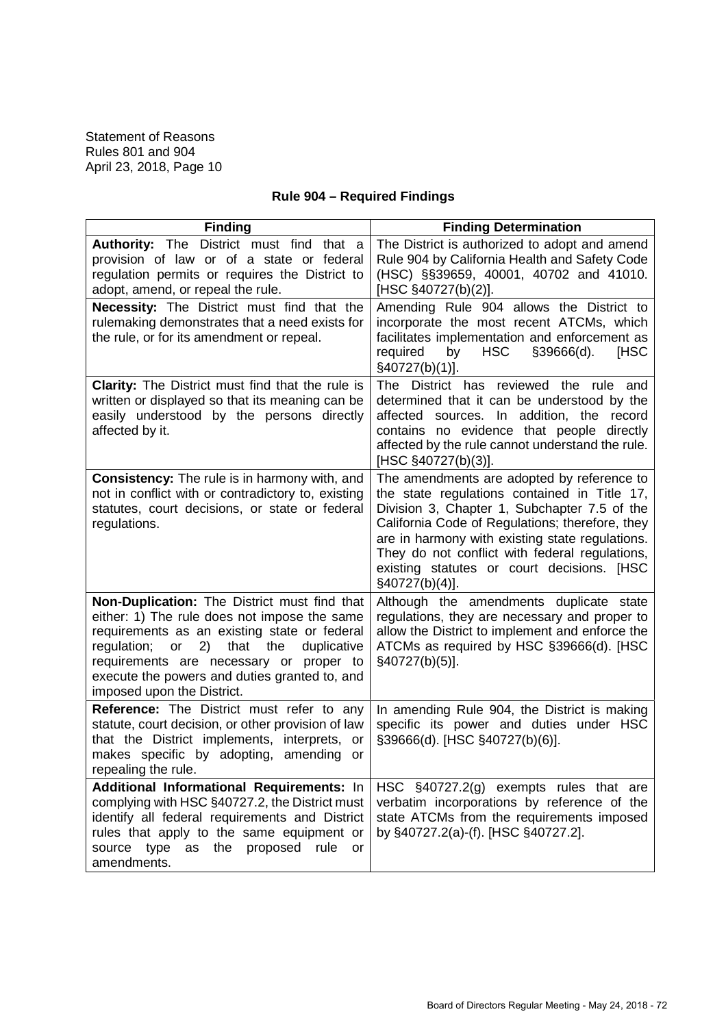|  |  |  | <b>Rule 904 - Required Findings</b> |
|--|--|--|-------------------------------------|
|--|--|--|-------------------------------------|

| <b>Finding</b>                                                                                                                                                                                                                                                                                                            | <b>Finding Determination</b>                                                                                                                                                                                                                                                                                                                                       |
|---------------------------------------------------------------------------------------------------------------------------------------------------------------------------------------------------------------------------------------------------------------------------------------------------------------------------|--------------------------------------------------------------------------------------------------------------------------------------------------------------------------------------------------------------------------------------------------------------------------------------------------------------------------------------------------------------------|
| Authority: The District must find that a<br>provision of law or of a state or federal<br>regulation permits or requires the District to<br>adopt, amend, or repeal the rule.                                                                                                                                              | The District is authorized to adopt and amend<br>Rule 904 by California Health and Safety Code<br>(HSC) §§39659, 40001, 40702 and 41010.<br>[HSC §40727(b)(2)].                                                                                                                                                                                                    |
| Necessity: The District must find that the<br>rulemaking demonstrates that a need exists for<br>the rule, or for its amendment or repeal.                                                                                                                                                                                 | Amending Rule 904 allows the District to<br>incorporate the most recent ATCMs, which<br>facilitates implementation and enforcement as<br>required<br><b>HSC</b><br>\$39666(d).<br><b>IHSC</b><br>by<br>§40727(b)(1)].                                                                                                                                              |
| <b>Clarity:</b> The District must find that the rule is<br>written or displayed so that its meaning can be<br>easily understood by the persons directly<br>affected by it.                                                                                                                                                | The District has reviewed the rule and<br>determined that it can be understood by the<br>sources. In addition, the record<br>affected<br>contains no evidence that people directly<br>affected by the rule cannot understand the rule.<br>[HSC §40727(b)(3)].                                                                                                      |
| <b>Consistency:</b> The rule is in harmony with, and<br>not in conflict with or contradictory to, existing<br>statutes, court decisions, or state or federal<br>regulations.                                                                                                                                              | The amendments are adopted by reference to<br>the state regulations contained in Title 17,<br>Division 3, Chapter 1, Subchapter 7.5 of the<br>California Code of Regulations; therefore, they<br>are in harmony with existing state regulations.<br>They do not conflict with federal regulations,<br>existing statutes or court decisions. [HSC<br>§40727(b)(4)]. |
| Non-Duplication: The District must find that<br>either: 1) The rule does not impose the same<br>requirements as an existing state or federal<br>2)<br>that the<br>regulation; or<br>duplicative<br>requirements are necessary or proper to<br>execute the powers and duties granted to, and<br>imposed upon the District. | Although the amendments duplicate state<br>regulations, they are necessary and proper to<br>allow the District to implement and enforce the<br>ATCMs as required by HSC §39666(d). [HSC<br>§40727(b)(5)].                                                                                                                                                          |
| Reference: The District must refer to any<br>statute, court decision, or other provision of law<br>that the District implements, interprets, or<br>makes specific by adopting, amending or<br>repealing the rule.                                                                                                         | In amending Rule 904, the District is making<br>specific its power and duties under HSC<br>§39666(d). [HSC §40727(b)(6)].                                                                                                                                                                                                                                          |
| Additional Informational Requirements: In<br>complying with HSC §40727.2, the District must<br>identify all federal requirements and District<br>rules that apply to the same equipment or<br>as the proposed rule<br>source type<br>or<br>amendments.                                                                    | HSC $\S$ 40727.2(g) exempts rules that are<br>verbatim incorporations by reference of the<br>state ATCMs from the requirements imposed<br>by §40727.2(a)-(f). [HSC §40727.2].                                                                                                                                                                                      |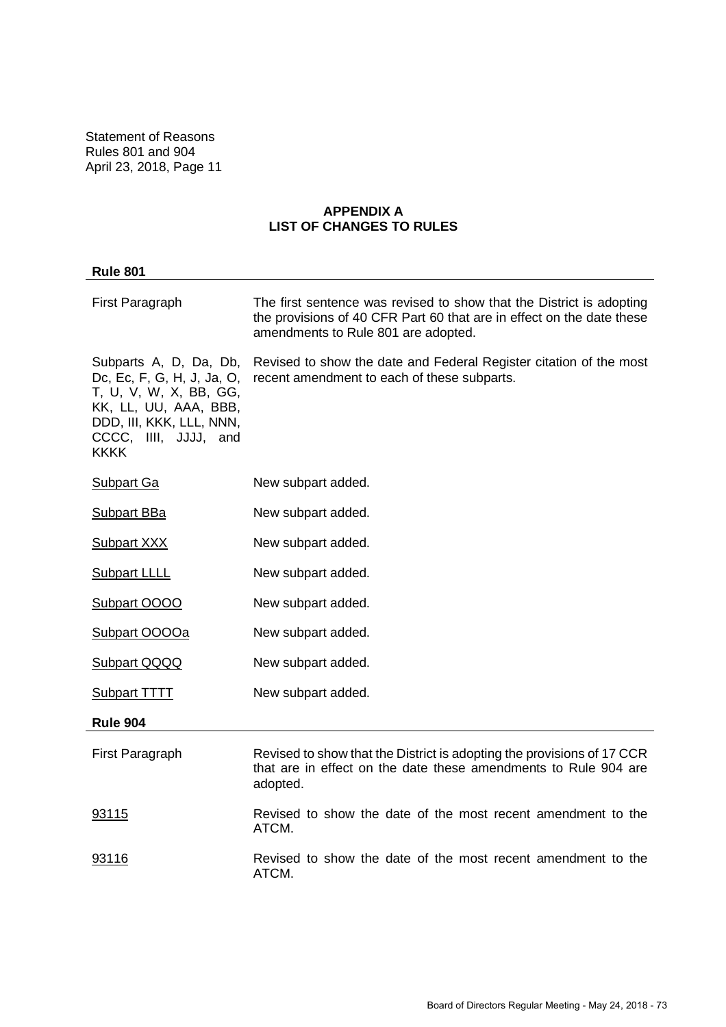# **APPENDIX A LIST OF CHANGES TO RULES**

| <b>Rule 801</b>                                                                                                                                                             |                                                                                                                                                                                      |
|-----------------------------------------------------------------------------------------------------------------------------------------------------------------------------|--------------------------------------------------------------------------------------------------------------------------------------------------------------------------------------|
| First Paragraph                                                                                                                                                             | The first sentence was revised to show that the District is adopting<br>the provisions of 40 CFR Part 60 that are in effect on the date these<br>amendments to Rule 801 are adopted. |
| Subparts A, D, Da, Db,<br>Dc, Ec, F, G, H, J, Ja, O,<br>T, U, V, W, X, BB, GG,<br>KK, LL, UU, AAA, BBB,<br>DDD, III, KKK, LLL, NNN,<br>CCCC, IIII, JJJJ, and<br><b>KKKK</b> | Revised to show the date and Federal Register citation of the most<br>recent amendment to each of these subparts.                                                                    |
| <b>Subpart Ga</b>                                                                                                                                                           | New subpart added.                                                                                                                                                                   |
| <b>Subpart BBa</b>                                                                                                                                                          | New subpart added.                                                                                                                                                                   |
| <b>Subpart XXX</b>                                                                                                                                                          | New subpart added.                                                                                                                                                                   |
| <b>Subpart LLLL</b>                                                                                                                                                         | New subpart added.                                                                                                                                                                   |
| Subpart OOOO                                                                                                                                                                | New subpart added.                                                                                                                                                                   |
| Subpart OOOOa                                                                                                                                                               | New subpart added.                                                                                                                                                                   |
| <b>Subpart QQQQ</b>                                                                                                                                                         | New subpart added.                                                                                                                                                                   |
| Subpart TTTT                                                                                                                                                                | New subpart added.                                                                                                                                                                   |
| <b>Rule 904</b>                                                                                                                                                             |                                                                                                                                                                                      |
| First Paragraph                                                                                                                                                             | Revised to show that the District is adopting the provisions of 17 CCR<br>that are in effect on the date these amendments to Rule 904 are<br>adopted.                                |
| 93115                                                                                                                                                                       | Revised to show the date of the most recent amendment to the<br>ATCM.                                                                                                                |
| 93116                                                                                                                                                                       | Revised to show the date of the most recent amendment to the<br>ATCM.                                                                                                                |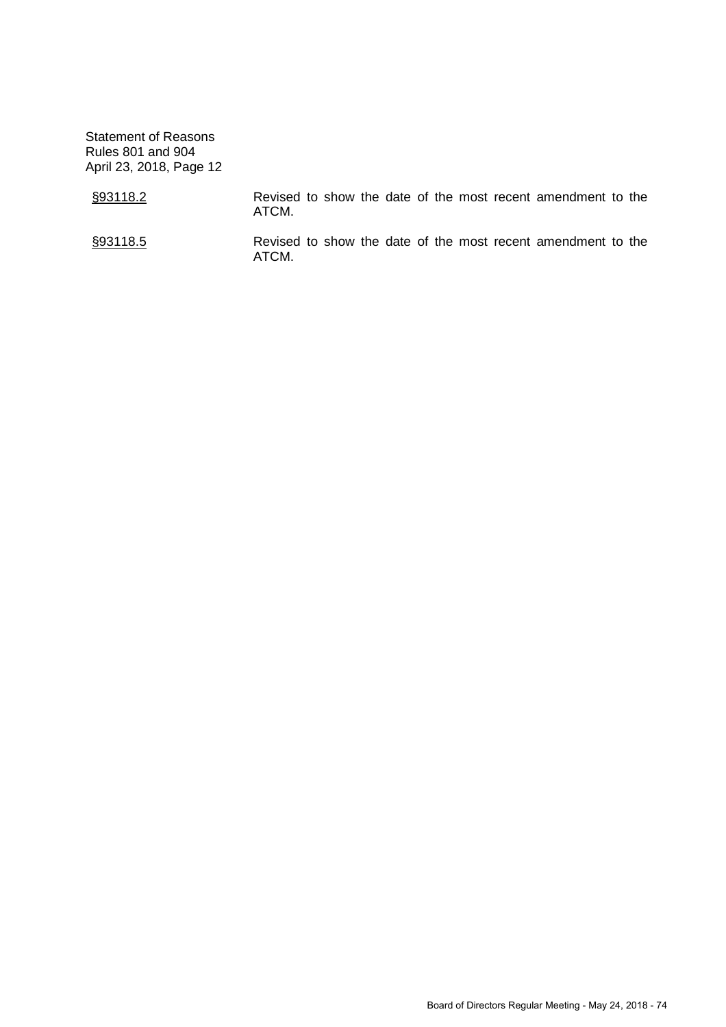| §93118.2 | ATCM. |  |  | Revised to show the date of the most recent amendment to the |  |
|----------|-------|--|--|--------------------------------------------------------------|--|
| §93118.5 | ATCM. |  |  | Revised to show the date of the most recent amendment to the |  |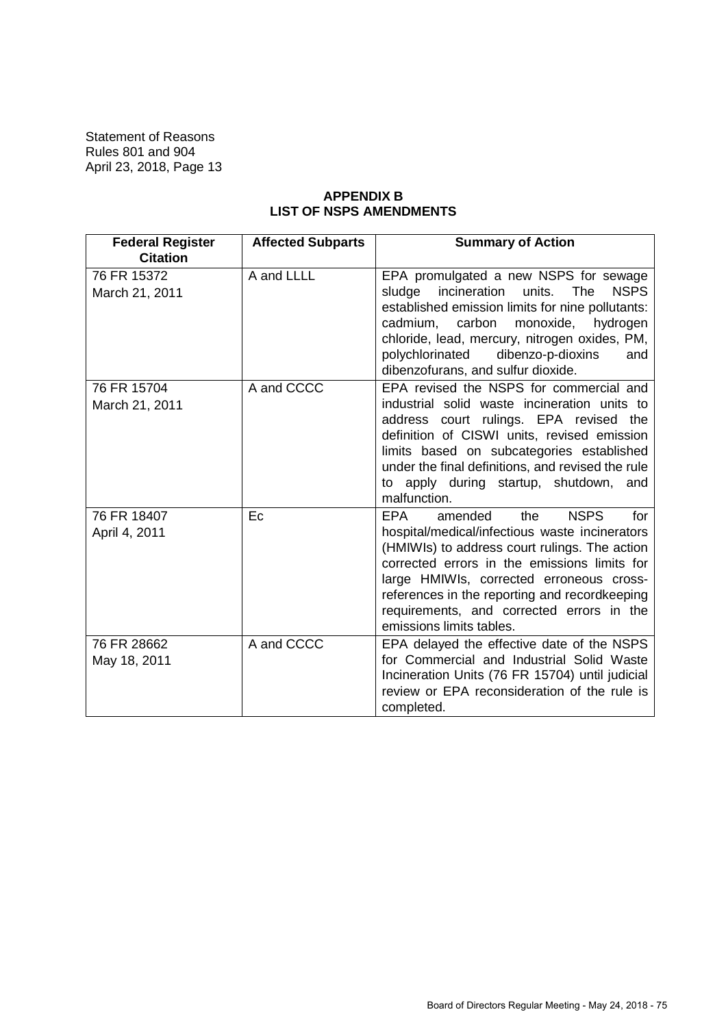# **APPENDIX B LIST OF NSPS AMENDMENTS**

| <b>Federal Register</b><br><b>Citation</b> | <b>Affected Subparts</b> | <b>Summary of Action</b>                                                                                                                                                                                                                                                                                                                                             |
|--------------------------------------------|--------------------------|----------------------------------------------------------------------------------------------------------------------------------------------------------------------------------------------------------------------------------------------------------------------------------------------------------------------------------------------------------------------|
| 76 FR 15372<br>March 21, 2011              | A and LLLL               | EPA promulgated a new NSPS for sewage<br>sludge<br>incineration<br><b>The</b><br><b>NSPS</b><br>units.<br>established emission limits for nine pollutants:<br>monoxide,<br>cadmium,<br>carbon<br>hydrogen<br>chloride, lead, mercury, nitrogen oxides, PM,<br>polychlorinated<br>dibenzo-p-dioxins<br>and<br>dibenzofurans, and sulfur dioxide.                      |
| 76 FR 15704<br>March 21, 2011              | A and CCCC               | EPA revised the NSPS for commercial and<br>industrial solid waste incineration units to<br>address court rulings. EPA revised the<br>definition of CISWI units, revised emission<br>limits based on subcategories established<br>under the final definitions, and revised the rule<br>apply during startup, shutdown, and<br>to<br>malfunction.                      |
| 76 FR 18407<br>April 4, 2011               | Ec                       | <b>NSPS</b><br>EPA<br>amended<br>the<br>for<br>hospital/medical/infectious waste incinerators<br>(HMIWIs) to address court rulings. The action<br>corrected errors in the emissions limits for<br>large HMIWIs, corrected erroneous cross-<br>references in the reporting and recordkeeping<br>requirements, and corrected errors in the<br>emissions limits tables. |
| 76 FR 28662<br>May 18, 2011                | A and CCCC               | EPA delayed the effective date of the NSPS<br>for Commercial and Industrial Solid Waste<br>Incineration Units (76 FR 15704) until judicial<br>review or EPA reconsideration of the rule is<br>completed.                                                                                                                                                             |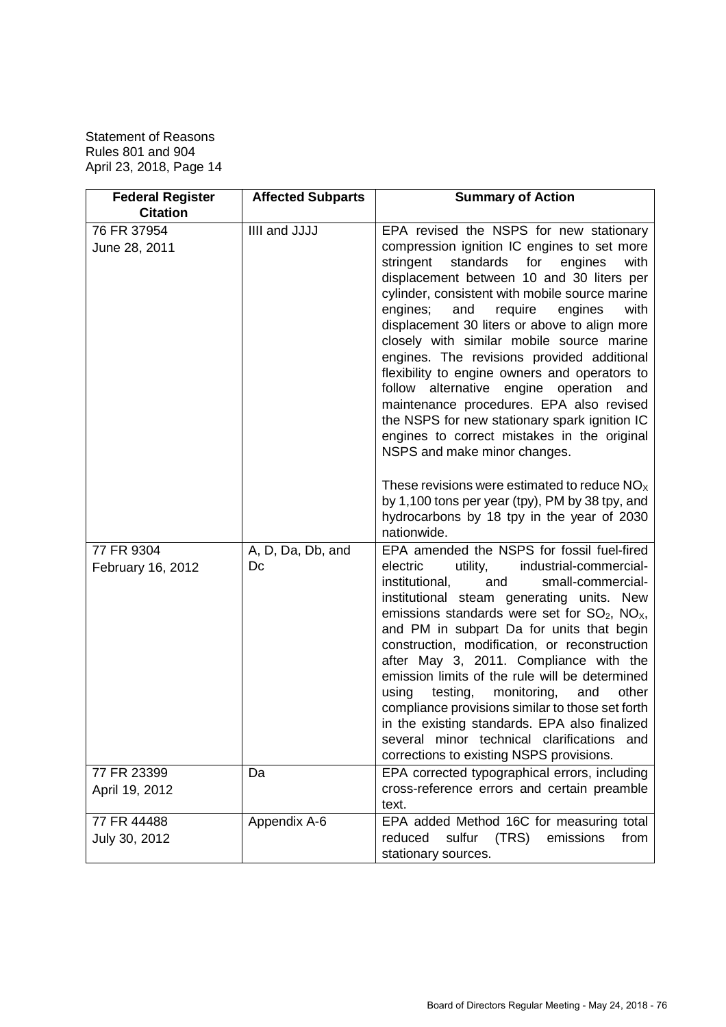| <b>Federal Register</b><br><b>Citation</b> | <b>Affected Subparts</b> | <b>Summary of Action</b>                                                                                                                                                                                                                                                                                                                                                                                                                                                                                                                                                                                                                                                                     |
|--------------------------------------------|--------------------------|----------------------------------------------------------------------------------------------------------------------------------------------------------------------------------------------------------------------------------------------------------------------------------------------------------------------------------------------------------------------------------------------------------------------------------------------------------------------------------------------------------------------------------------------------------------------------------------------------------------------------------------------------------------------------------------------|
| 76 FR 37954<br>June 28, 2011               | IIII and JJJJ            | EPA revised the NSPS for new stationary<br>compression ignition IC engines to set more<br>standards<br>stringent<br>for<br>engines<br>with<br>displacement between 10 and 30 liters per                                                                                                                                                                                                                                                                                                                                                                                                                                                                                                      |
|                                            |                          | cylinder, consistent with mobile source marine<br>engines;<br>require<br>engines<br>with<br>and<br>displacement 30 liters or above to align more<br>closely with similar mobile source marine<br>engines. The revisions provided additional<br>flexibility to engine owners and operators to<br>follow alternative engine operation and<br>maintenance procedures. EPA also revised<br>the NSPS for new stationary spark ignition IC<br>engines to correct mistakes in the original                                                                                                                                                                                                          |
|                                            |                          | NSPS and make minor changes.<br>These revisions were estimated to reduce $NOx$<br>by 1,100 tons per year (tpy), PM by 38 tpy, and<br>hydrocarbons by 18 tpy in the year of 2030<br>nationwide.                                                                                                                                                                                                                                                                                                                                                                                                                                                                                               |
| 77 FR 9304<br>February 16, 2012            | A, D, Da, Db, and<br>Dc  | EPA amended the NSPS for fossil fuel-fired<br>utility,<br>industrial-commercial-<br>electric<br>institutional,<br>and<br>small-commercial-<br>institutional steam generating units. New<br>emissions standards were set for $SO_2$ , $NOx$ ,<br>and PM in subpart Da for units that begin<br>construction, modification, or reconstruction<br>after May 3, 2011. Compliance with the<br>emission limits of the rule will be determined<br>using<br>testing,<br>monitoring,<br>and<br>other<br>compliance provisions similar to those set forth<br>in the existing standards. EPA also finalized<br>several minor technical clarifications<br>and<br>corrections to existing NSPS provisions. |
| 77 FR 23399<br>April 19, 2012              | Da                       | EPA corrected typographical errors, including<br>cross-reference errors and certain preamble<br>text.                                                                                                                                                                                                                                                                                                                                                                                                                                                                                                                                                                                        |
| 77 FR 44488<br>July 30, 2012               | Appendix A-6             | EPA added Method 16C for measuring total<br>(TRS)<br>emissions<br>reduced<br>sulfur<br>from<br>stationary sources.                                                                                                                                                                                                                                                                                                                                                                                                                                                                                                                                                                           |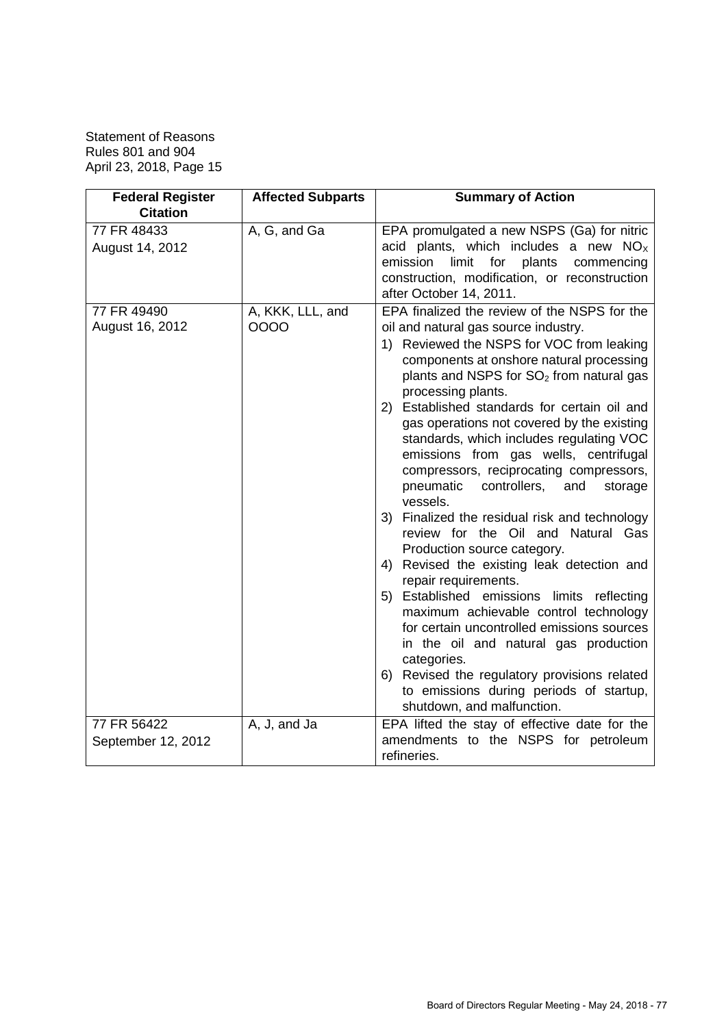| <b>Federal Register</b>                           | <b>Affected Subparts</b> | <b>Summary of Action</b>                                                                                                                                                                                                                                                                                                                                                                                                                                                                                                                                                                                                                                                                                                                                                                                                                                                                                                                                                                                                                                                     |
|---------------------------------------------------|--------------------------|------------------------------------------------------------------------------------------------------------------------------------------------------------------------------------------------------------------------------------------------------------------------------------------------------------------------------------------------------------------------------------------------------------------------------------------------------------------------------------------------------------------------------------------------------------------------------------------------------------------------------------------------------------------------------------------------------------------------------------------------------------------------------------------------------------------------------------------------------------------------------------------------------------------------------------------------------------------------------------------------------------------------------------------------------------------------------|
| <b>Citation</b><br>77 FR 48433<br>August 14, 2012 | A, G, and Ga             | EPA promulgated a new NSPS (Ga) for nitric<br>acid plants, which includes a new $NOx$<br>plants<br>emission<br>limit<br>for<br>commencing<br>construction, modification, or reconstruction<br>after October 14, 2011.                                                                                                                                                                                                                                                                                                                                                                                                                                                                                                                                                                                                                                                                                                                                                                                                                                                        |
| 77 FR 49490<br>August 16, 2012                    | A, KKK, LLL, and<br>0000 | EPA finalized the review of the NSPS for the<br>oil and natural gas source industry.<br>1) Reviewed the NSPS for VOC from leaking<br>components at onshore natural processing<br>plants and NSPS for SO <sub>2</sub> from natural gas<br>processing plants.<br>2) Established standards for certain oil and<br>gas operations not covered by the existing<br>standards, which includes regulating VOC<br>emissions from gas wells, centrifugal<br>compressors, reciprocating compressors,<br>pneumatic<br>controllers,<br>and<br>storage<br>vessels.<br>3) Finalized the residual risk and technology<br>review for the Oil and Natural Gas<br>Production source category.<br>Revised the existing leak detection and<br>4)<br>repair requirements.<br>5) Established emissions limits reflecting<br>maximum achievable control technology<br>for certain uncontrolled emissions sources<br>in the oil and natural gas production<br>categories.<br>Revised the regulatory provisions related<br>6)<br>to emissions during periods of startup,<br>shutdown, and malfunction. |
| 77 FR 56422<br>September 12, 2012                 | A, J, and Ja             | EPA lifted the stay of effective date for the<br>amendments to the NSPS for petroleum<br>refineries.                                                                                                                                                                                                                                                                                                                                                                                                                                                                                                                                                                                                                                                                                                                                                                                                                                                                                                                                                                         |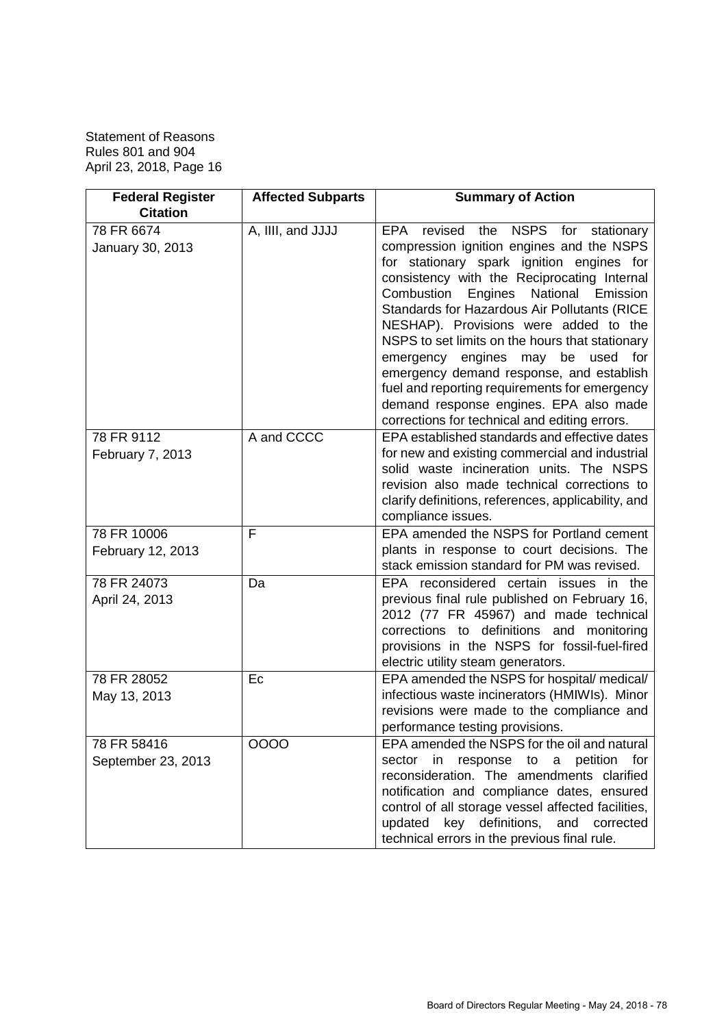| <b>Federal Register</b><br><b>Citation</b> | <b>Affected Subparts</b> | <b>Summary of Action</b>                                                                                                                                                                                                                                                                                                                                                                                                                                                                                                                                                                                     |
|--------------------------------------------|--------------------------|--------------------------------------------------------------------------------------------------------------------------------------------------------------------------------------------------------------------------------------------------------------------------------------------------------------------------------------------------------------------------------------------------------------------------------------------------------------------------------------------------------------------------------------------------------------------------------------------------------------|
| 78 FR 6674<br>January 30, 2013             | A, IIII, and JJJJ        | EPA<br>revised the NSPS for stationary<br>compression ignition engines and the NSPS<br>for stationary spark ignition engines for<br>consistency with the Reciprocating Internal<br>Engines<br>National<br>Combustion<br>Emission<br>Standards for Hazardous Air Pollutants (RICE<br>NESHAP). Provisions were added to the<br>NSPS to set limits on the hours that stationary<br>emergency engines may be used<br>for<br>emergency demand response, and establish<br>fuel and reporting requirements for emergency<br>demand response engines. EPA also made<br>corrections for technical and editing errors. |
| 78 FR 9112<br>February 7, 2013             | A and CCCC               | EPA established standards and effective dates<br>for new and existing commercial and industrial<br>solid waste incineration units. The NSPS<br>revision also made technical corrections to<br>clarify definitions, references, applicability, and<br>compliance issues.                                                                                                                                                                                                                                                                                                                                      |
| 78 FR 10006<br>February 12, 2013           | F                        | EPA amended the NSPS for Portland cement<br>plants in response to court decisions. The<br>stack emission standard for PM was revised.                                                                                                                                                                                                                                                                                                                                                                                                                                                                        |
| 78 FR 24073<br>April 24, 2013              | Da                       | EPA reconsidered certain issues in the<br>previous final rule published on February 16,<br>2012 (77 FR 45967) and made technical<br>corrections to definitions and monitoring<br>provisions in the NSPS for fossil-fuel-fired<br>electric utility steam generators.                                                                                                                                                                                                                                                                                                                                          |
| 78 FR 28052<br>May 13, 2013                | Ec                       | EPA amended the NSPS for hospital/ medical/<br>infectious waste incinerators (HMIWIs). Minor<br>revisions were made to the compliance and<br>performance testing provisions.                                                                                                                                                                                                                                                                                                                                                                                                                                 |
| 78 FR 58416<br>September 23, 2013          | 0000                     | EPA amended the NSPS for the oil and natural<br>sector in response to a petition for<br>reconsideration. The amendments clarified<br>notification and compliance dates, ensured<br>control of all storage vessel affected facilities,<br>updated key definitions, and corrected<br>technical errors in the previous final rule.                                                                                                                                                                                                                                                                              |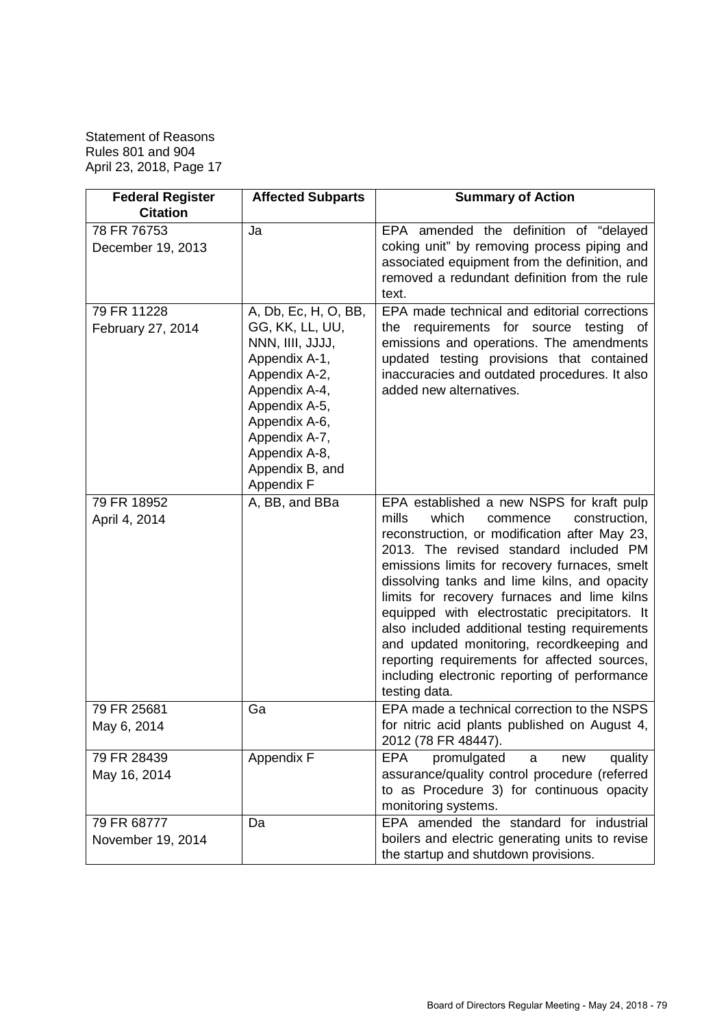| <b>Federal Register</b><br><b>Citation</b> | <b>Affected Subparts</b>                                                                                                                                                                                            | <b>Summary of Action</b>                                                                                                                                                                                                                                                                                                                                                                                                                                                                                                                                                                             |
|--------------------------------------------|---------------------------------------------------------------------------------------------------------------------------------------------------------------------------------------------------------------------|------------------------------------------------------------------------------------------------------------------------------------------------------------------------------------------------------------------------------------------------------------------------------------------------------------------------------------------------------------------------------------------------------------------------------------------------------------------------------------------------------------------------------------------------------------------------------------------------------|
| 78 FR 76753<br>December 19, 2013           | Ja                                                                                                                                                                                                                  | EPA amended the definition of "delayed<br>coking unit" by removing process piping and<br>associated equipment from the definition, and<br>removed a redundant definition from the rule<br>text.                                                                                                                                                                                                                                                                                                                                                                                                      |
| 79 FR 11228<br>February 27, 2014           | A, Db, Ec, H, O, BB,<br>GG, KK, LL, UU,<br>NNN, IIII, JJJJ,<br>Appendix A-1,<br>Appendix A-2,<br>Appendix A-4,<br>Appendix A-5,<br>Appendix A-6,<br>Appendix A-7,<br>Appendix A-8,<br>Appendix B, and<br>Appendix F | EPA made technical and editorial corrections<br>requirements for source testing of<br>the<br>emissions and operations. The amendments<br>updated testing provisions that contained<br>inaccuracies and outdated procedures. It also<br>added new alternatives.                                                                                                                                                                                                                                                                                                                                       |
| 79 FR 18952<br>April 4, 2014               | A, BB, and BBa                                                                                                                                                                                                      | EPA established a new NSPS for kraft pulp<br>mills<br>which<br>construction.<br>commence<br>reconstruction, or modification after May 23,<br>2013. The revised standard included PM<br>emissions limits for recovery furnaces, smelt<br>dissolving tanks and lime kilns, and opacity<br>limits for recovery furnaces and lime kilns<br>equipped with electrostatic precipitators. It<br>also included additional testing requirements<br>and updated monitoring, recordkeeping and<br>reporting requirements for affected sources,<br>including electronic reporting of performance<br>testing data. |
| 79 FR 25681<br>May 6, 2014                 | Ga                                                                                                                                                                                                                  | EPA made a technical correction to the NSPS<br>for nitric acid plants published on August 4,<br>2012 (78 FR 48447).                                                                                                                                                                                                                                                                                                                                                                                                                                                                                  |
| 79 FR 28439<br>May 16, 2014                | Appendix F                                                                                                                                                                                                          | promulgated<br><b>EPA</b><br>quality<br>a<br>new<br>assurance/quality control procedure (referred<br>to as Procedure 3) for continuous opacity<br>monitoring systems.                                                                                                                                                                                                                                                                                                                                                                                                                                |
| 79 FR 68777<br>November 19, 2014           | Da                                                                                                                                                                                                                  | EPA amended the standard for industrial<br>boilers and electric generating units to revise<br>the startup and shutdown provisions.                                                                                                                                                                                                                                                                                                                                                                                                                                                                   |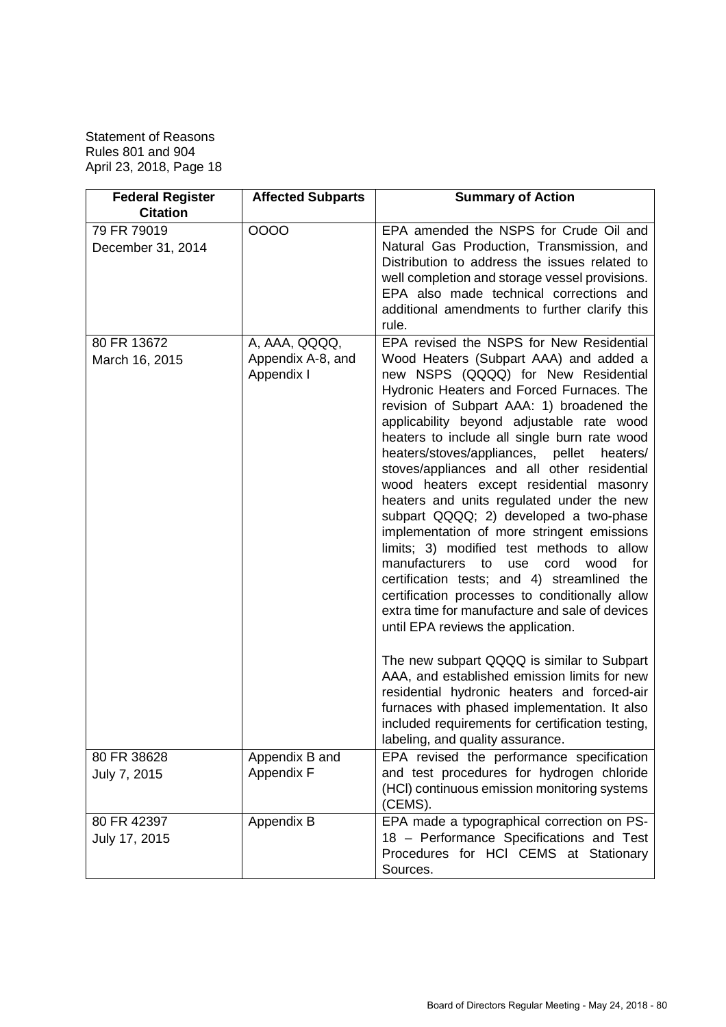| <b>Federal Register</b><br><b>Citation</b> | <b>Affected Subparts</b>                         | <b>Summary of Action</b>                                                                                                                                                                                                                                                                                                                                                                                                                                                                                                                                                                                                                                                                                                                                                                                                                                                                                                                                                                                                                                                                                                                                                            |
|--------------------------------------------|--------------------------------------------------|-------------------------------------------------------------------------------------------------------------------------------------------------------------------------------------------------------------------------------------------------------------------------------------------------------------------------------------------------------------------------------------------------------------------------------------------------------------------------------------------------------------------------------------------------------------------------------------------------------------------------------------------------------------------------------------------------------------------------------------------------------------------------------------------------------------------------------------------------------------------------------------------------------------------------------------------------------------------------------------------------------------------------------------------------------------------------------------------------------------------------------------------------------------------------------------|
| 79 FR 79019<br>December 31, 2014           | 0000                                             | EPA amended the NSPS for Crude Oil and<br>Natural Gas Production, Transmission, and<br>Distribution to address the issues related to<br>well completion and storage vessel provisions.<br>EPA also made technical corrections and<br>additional amendments to further clarify this                                                                                                                                                                                                                                                                                                                                                                                                                                                                                                                                                                                                                                                                                                                                                                                                                                                                                                  |
| 80 FR 13672<br>March 16, 2015              | A, AAA, QQQQ,<br>Appendix A-8, and<br>Appendix I | rule.<br>EPA revised the NSPS for New Residential<br>Wood Heaters (Subpart AAA) and added a<br>new NSPS (QQQQ) for New Residential<br>Hydronic Heaters and Forced Furnaces. The<br>revision of Subpart AAA: 1) broadened the<br>applicability beyond adjustable rate wood<br>heaters to include all single burn rate wood<br>heaters/stoves/appliances, pellet heaters/<br>stoves/appliances and all other residential<br>wood heaters except residential masonry<br>heaters and units regulated under the new<br>subpart QQQQ; 2) developed a two-phase<br>implementation of more stringent emissions<br>limits; 3) modified test methods to allow<br>manufacturers to<br>cord<br>wood<br>for<br>use<br>certification tests; and 4) streamlined the<br>certification processes to conditionally allow<br>extra time for manufacture and sale of devices<br>until EPA reviews the application.<br>The new subpart QQQQ is similar to Subpart<br>AAA, and established emission limits for new<br>residential hydronic heaters and forced-air<br>furnaces with phased implementation. It also<br>included requirements for certification testing,<br>labeling, and quality assurance. |
| 80 FR 38628<br>July 7, 2015                | Appendix B and<br>Appendix F                     | EPA revised the performance specification<br>and test procedures for hydrogen chloride<br>(HCI) continuous emission monitoring systems<br>(CEMS).                                                                                                                                                                                                                                                                                                                                                                                                                                                                                                                                                                                                                                                                                                                                                                                                                                                                                                                                                                                                                                   |
| 80 FR 42397<br>July 17, 2015               | Appendix B                                       | EPA made a typographical correction on PS-<br>18 - Performance Specifications and Test<br>Procedures for HCI CEMS at Stationary<br>Sources.                                                                                                                                                                                                                                                                                                                                                                                                                                                                                                                                                                                                                                                                                                                                                                                                                                                                                                                                                                                                                                         |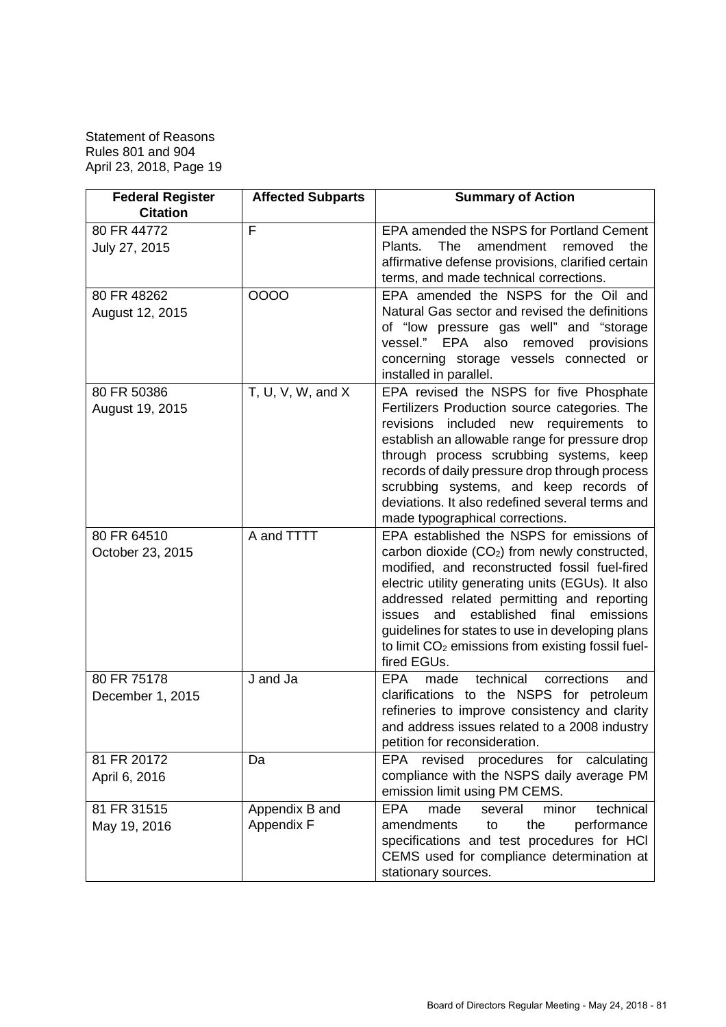| <b>Federal Register</b><br><b>Citation</b> | <b>Affected Subparts</b>     | <b>Summary of Action</b>                                                                                                                                                                                                                                                                                                                                                                                                                             |
|--------------------------------------------|------------------------------|------------------------------------------------------------------------------------------------------------------------------------------------------------------------------------------------------------------------------------------------------------------------------------------------------------------------------------------------------------------------------------------------------------------------------------------------------|
| 80 FR 44772<br>July 27, 2015               | F                            | EPA amended the NSPS for Portland Cement<br>The<br>amendment<br>the<br>Plants.<br>removed<br>affirmative defense provisions, clarified certain<br>terms, and made technical corrections.                                                                                                                                                                                                                                                             |
| 80 FR 48262<br>August 12, 2015             | 0000                         | EPA amended the NSPS for the Oil and<br>Natural Gas sector and revised the definitions<br>of "low pressure gas well" and "storage<br>vessel." EPA also<br>removed provisions<br>concerning storage vessels connected or<br>installed in parallel.                                                                                                                                                                                                    |
| 80 FR 50386<br>August 19, 2015             | T, U, V, W, and $X$          | EPA revised the NSPS for five Phosphate<br>Fertilizers Production source categories. The<br>requirements to<br>revisions<br>included new<br>establish an allowable range for pressure drop<br>through process scrubbing systems, keep<br>records of daily pressure drop through process<br>scrubbing systems, and keep records of<br>deviations. It also redefined several terms and<br>made typographical corrections.                              |
| 80 FR 64510<br>October 23, 2015            | A and TTTT                   | EPA established the NSPS for emissions of<br>carbon dioxide (CO <sub>2</sub> ) from newly constructed,<br>modified, and reconstructed fossil fuel-fired<br>electric utility generating units (EGUs). It also<br>addressed related permitting and reporting<br>established<br>final<br>emissions<br>and<br>issues<br>guidelines for states to use in developing plans<br>to limit CO <sub>2</sub> emissions from existing fossil fuel-<br>fired EGUs. |
| 80 FR 75178<br>December 1, 2015            | J and Ja                     | technical<br><b>EPA</b><br>made<br>corrections<br>and<br>clarifications to the NSPS for petroleum<br>refineries to improve consistency and clarity<br>and address issues related to a 2008 industry<br>petition for reconsideration.                                                                                                                                                                                                                 |
| 81 FR 20172<br>April 6, 2016               | Da                           | revised<br><b>EPA</b><br>procedures for calculating<br>compliance with the NSPS daily average PM<br>emission limit using PM CEMS.                                                                                                                                                                                                                                                                                                                    |
| 81 FR 31515<br>May 19, 2016                | Appendix B and<br>Appendix F | made<br>technical<br><b>EPA</b><br>several<br>minor<br>amendments<br>the<br>performance<br>to<br>specifications and test procedures for HCI<br>CEMS used for compliance determination at<br>stationary sources.                                                                                                                                                                                                                                      |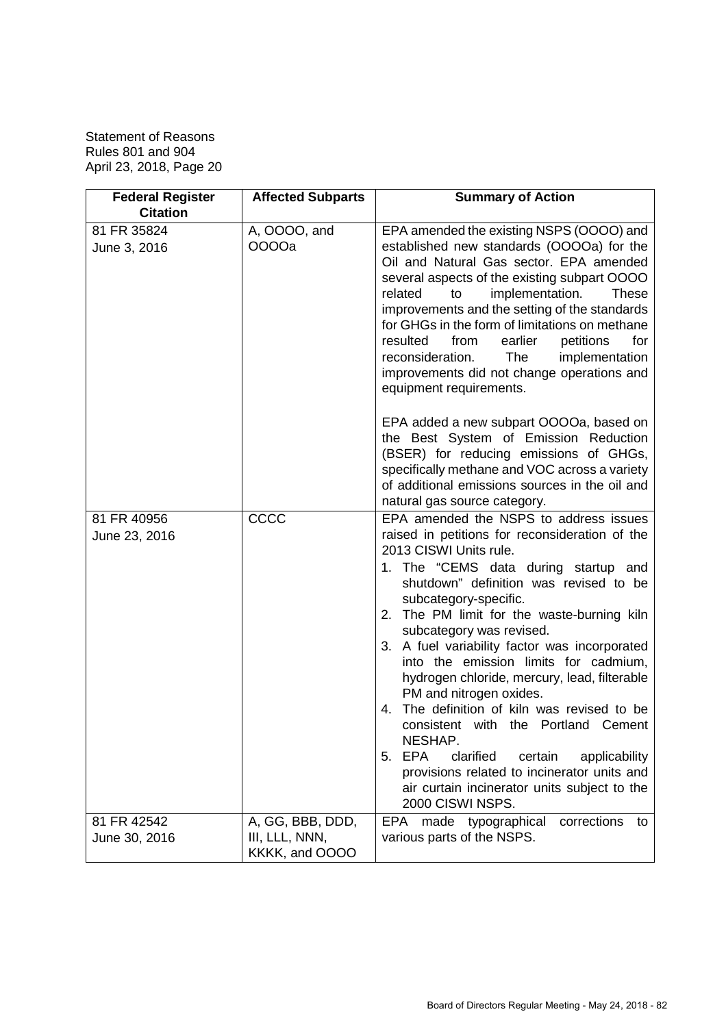| <b>Federal Register</b><br><b>Citation</b> | <b>Affected Subparts</b>                             | <b>Summary of Action</b>                                                                                                                                                                                                                                                                                                                                                                                                                                                                                                                                                                                                                                                                                                                               |
|--------------------------------------------|------------------------------------------------------|--------------------------------------------------------------------------------------------------------------------------------------------------------------------------------------------------------------------------------------------------------------------------------------------------------------------------------------------------------------------------------------------------------------------------------------------------------------------------------------------------------------------------------------------------------------------------------------------------------------------------------------------------------------------------------------------------------------------------------------------------------|
| 81 FR 35824<br>June 3, 2016                | A, OOOO, and<br>0000a                                | EPA amended the existing NSPS (OOOO) and<br>established new standards (OOOOa) for the<br>Oil and Natural Gas sector. EPA amended<br>several aspects of the existing subpart OOOO<br>related<br>implementation.<br><b>These</b><br>to<br>improvements and the setting of the standards<br>for GHGs in the form of limitations on methane<br>resulted<br>from<br>earlier<br>petitions<br>for<br>The<br>reconsideration.<br>implementation<br>improvements did not change operations and<br>equipment requirements.                                                                                                                                                                                                                                       |
|                                            |                                                      | EPA added a new subpart OOOOa, based on<br>the Best System of Emission Reduction<br>(BSER) for reducing emissions of GHGs,<br>specifically methane and VOC across a variety<br>of additional emissions sources in the oil and<br>natural gas source category.                                                                                                                                                                                                                                                                                                                                                                                                                                                                                          |
| 81 FR 40956<br>June 23, 2016               | CCCC                                                 | EPA amended the NSPS to address issues<br>raised in petitions for reconsideration of the<br>2013 CISWI Units rule.<br>1. The "CEMS data during startup and<br>shutdown" definition was revised to be<br>subcategory-specific.<br>2. The PM limit for the waste-burning kiln<br>subcategory was revised.<br>3. A fuel variability factor was incorporated<br>into the emission limits for cadmium,<br>hydrogen chloride, mercury, lead, filterable<br>PM and nitrogen oxides.<br>The definition of kiln was revised to be<br>4.<br>consistent with the Portland Cement<br>NESHAP.<br>5. EPA<br>clarified<br>certain<br>applicability<br>provisions related to incinerator units and<br>air curtain incinerator units subject to the<br>2000 CISWI NSPS. |
| 81 FR 42542<br>June 30, 2016               | A, GG, BBB, DDD,<br>III, LLL, NNN,<br>KKKK, and OOOO | EPA made typographical<br>corrections<br>to<br>various parts of the NSPS.                                                                                                                                                                                                                                                                                                                                                                                                                                                                                                                                                                                                                                                                              |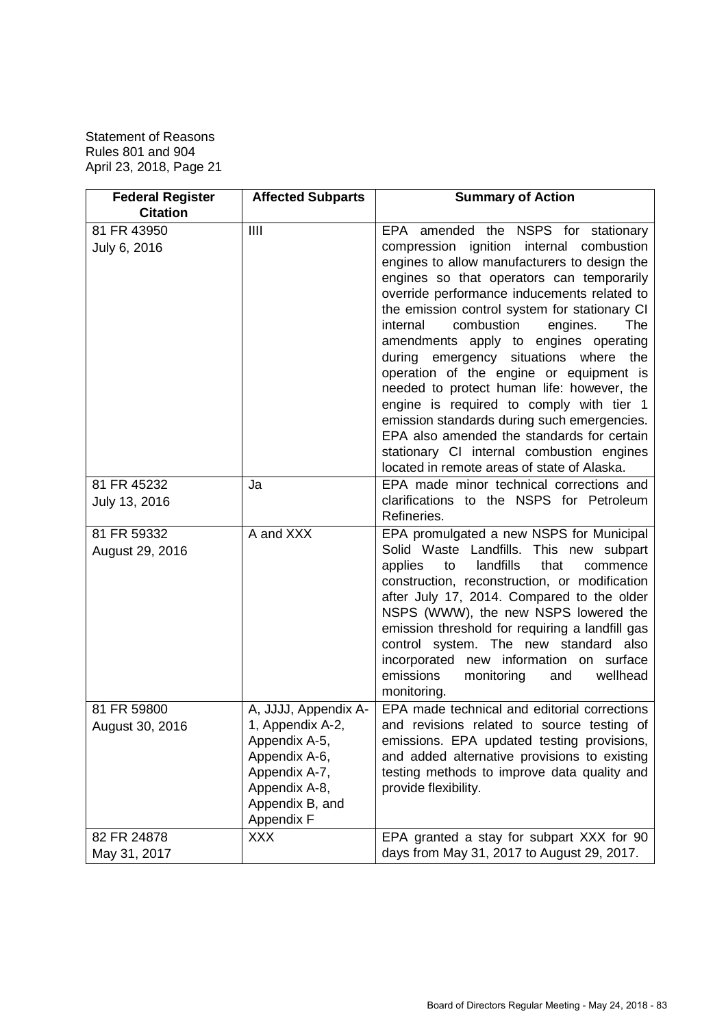| <b>Federal Register</b>        | <b>Affected Subparts</b>                                                                                                                      | <b>Summary of Action</b>                                                                                                                                                                                                                                                                                                                                                                                                                                                                                                                                 |
|--------------------------------|-----------------------------------------------------------------------------------------------------------------------------------------------|----------------------------------------------------------------------------------------------------------------------------------------------------------------------------------------------------------------------------------------------------------------------------------------------------------------------------------------------------------------------------------------------------------------------------------------------------------------------------------------------------------------------------------------------------------|
| <b>Citation</b>                |                                                                                                                                               |                                                                                                                                                                                                                                                                                                                                                                                                                                                                                                                                                          |
| 81 FR 43950                    | III                                                                                                                                           | EPA amended the NSPS for stationary                                                                                                                                                                                                                                                                                                                                                                                                                                                                                                                      |
| July 6, 2016                   |                                                                                                                                               | compression ignition internal combustion<br>engines to allow manufacturers to design the<br>engines so that operators can temporarily<br>override performance inducements related to<br>the emission control system for stationary CI<br>combustion<br>internal<br>engines.<br>The<br>amendments apply to engines operating<br>during emergency situations where the<br>operation of the engine or equipment is<br>needed to protect human life: however, the<br>engine is required to comply with tier 1<br>emission standards during such emergencies. |
|                                |                                                                                                                                               | EPA also amended the standards for certain<br>stationary CI internal combustion engines<br>located in remote areas of state of Alaska.                                                                                                                                                                                                                                                                                                                                                                                                                   |
| 81 FR 45232<br>July 13, 2016   | Ja                                                                                                                                            | EPA made minor technical corrections and<br>clarifications to the NSPS for Petroleum<br>Refineries.                                                                                                                                                                                                                                                                                                                                                                                                                                                      |
| 81 FR 59332<br>August 29, 2016 | A and XXX                                                                                                                                     | EPA promulgated a new NSPS for Municipal<br>Solid Waste Landfills. This new subpart<br>applies<br>landfills<br>that<br>to<br>commence<br>construction, reconstruction, or modification<br>after July 17, 2014. Compared to the older<br>NSPS (WWW), the new NSPS lowered the<br>emission threshold for requiring a landfill gas<br>control system. The new standard also<br>incorporated new information on surface<br>emissions<br>wellhead<br>monitoring<br>and<br>monitoring.                                                                         |
| 81 FR 59800<br>August 30, 2016 | A, JJJJ, Appendix A-<br>1, Appendix A-2,<br>Appendix A-5,<br>Appendix A-6,<br>Appendix A-7,<br>Appendix A-8,<br>Appendix B, and<br>Appendix F | EPA made technical and editorial corrections<br>and revisions related to source testing of<br>emissions. EPA updated testing provisions,<br>and added alternative provisions to existing<br>testing methods to improve data quality and<br>provide flexibility.                                                                                                                                                                                                                                                                                          |
| 82 FR 24878<br>May 31, 2017    | <b>XXX</b>                                                                                                                                    | EPA granted a stay for subpart XXX for 90<br>days from May 31, 2017 to August 29, 2017.                                                                                                                                                                                                                                                                                                                                                                                                                                                                  |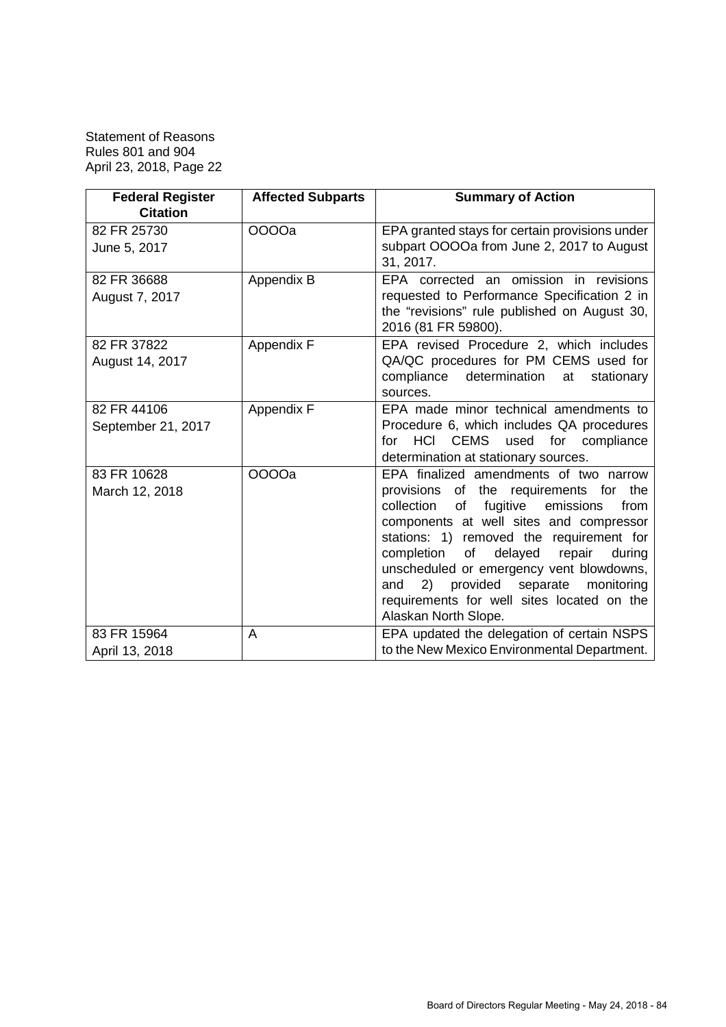| <b>Federal Register</b>           | <b>Affected Subparts</b> | <b>Summary of Action</b>                                                                                                                                                                                                                                                                                                                                                                                                                           |
|-----------------------------------|--------------------------|----------------------------------------------------------------------------------------------------------------------------------------------------------------------------------------------------------------------------------------------------------------------------------------------------------------------------------------------------------------------------------------------------------------------------------------------------|
| <b>Citation</b>                   |                          |                                                                                                                                                                                                                                                                                                                                                                                                                                                    |
| 82 FR 25730<br>June 5, 2017       | 0000a                    | EPA granted stays for certain provisions under<br>subpart OOOOa from June 2, 2017 to August<br>31, 2017.                                                                                                                                                                                                                                                                                                                                           |
| 82 FR 36688<br>August 7, 2017     | Appendix B               | EPA corrected an omission in revisions<br>requested to Performance Specification 2 in<br>the "revisions" rule published on August 30,<br>2016 (81 FR 59800).                                                                                                                                                                                                                                                                                       |
| 82 FR 37822<br>August 14, 2017    | Appendix F               | EPA revised Procedure 2, which includes<br>QA/QC procedures for PM CEMS used for<br>compliance<br>determination<br>at<br>stationary<br>sources.                                                                                                                                                                                                                                                                                                    |
| 82 FR 44106<br>September 21, 2017 | Appendix F               | EPA made minor technical amendments to<br>Procedure 6, which includes QA procedures<br><b>HCI</b><br><b>CEMS</b><br>used for compliance<br>for<br>determination at stationary sources.                                                                                                                                                                                                                                                             |
| 83 FR 10628<br>March 12, 2018     | 0000a                    | EPA finalized amendments of two narrow<br>provisions of the requirements for the<br>fugitive<br>collection<br>of<br>emissions<br>from<br>components at well sites and compressor<br>stations: 1) removed the requirement for<br>completion<br>of<br>delayed<br>repair<br>during<br>unscheduled or emergency vent blowdowns,<br>provided separate<br>(2)<br>monitoring<br>and<br>requirements for well sites located on the<br>Alaskan North Slope. |
| 83 FR 15964<br>April 13, 2018     | A                        | EPA updated the delegation of certain NSPS<br>to the New Mexico Environmental Department.                                                                                                                                                                                                                                                                                                                                                          |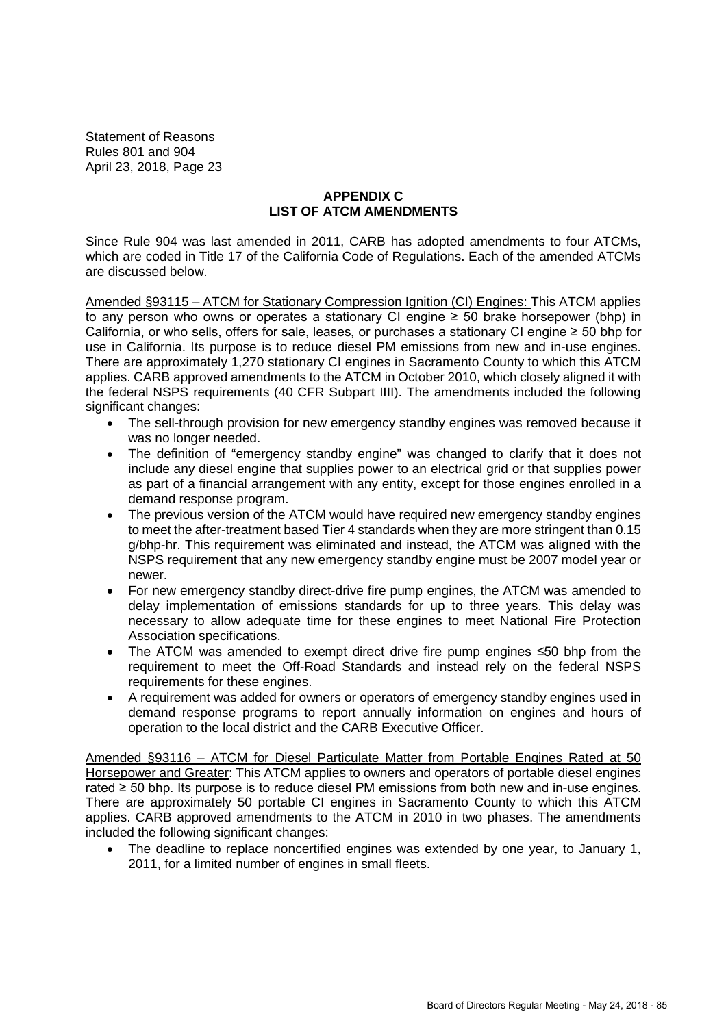# **APPENDIX C LIST OF ATCM AMENDMENTS**

Since Rule 904 was last amended in 2011, CARB has adopted amendments to four ATCMs, which are coded in Title 17 of the California Code of Regulations. Each of the amended ATCMs are discussed below.

Amended §93115 – ATCM for Stationary Compression Ignition (CI) Engines: This ATCM applies to any person who owns or operates a stationary CI engine  $\geq$  50 brake horsepower (bhp) in California, or who sells, offers for sale, leases, or purchases a stationary CI engine ≥ 50 bhp for use in California. Its purpose is to reduce diesel PM emissions from new and in-use engines. There are approximately 1,270 stationary CI engines in Sacramento County to which this ATCM applies. CARB approved amendments to the ATCM in October 2010, which closely aligned it with the federal NSPS requirements (40 CFR Subpart IIII). The amendments included the following significant changes:

- The sell-through provision for new emergency standby engines was removed because it was no longer needed.
- The definition of "emergency standby engine" was changed to clarify that it does not include any diesel engine that supplies power to an electrical grid or that supplies power as part of a financial arrangement with any entity, except for those engines enrolled in a demand response program.
- The previous version of the ATCM would have required new emergency standby engines to meet the after-treatment based Tier 4 standards when they are more stringent than 0.15 g/bhp-hr. This requirement was eliminated and instead, the ATCM was aligned with the NSPS requirement that any new emergency standby engine must be 2007 model year or newer.
- For new emergency standby direct-drive fire pump engines, the ATCM was amended to delay implementation of emissions standards for up to three years. This delay was necessary to allow adequate time for these engines to meet National Fire Protection Association specifications.
- The ATCM was amended to exempt direct drive fire pump engines ≤50 bhp from the requirement to meet the Off-Road Standards and instead rely on the federal NSPS requirements for these engines.
- A requirement was added for owners or operators of emergency standby engines used in demand response programs to report annually information on engines and hours of operation to the local district and the CARB Executive Officer.

Amended §93116 – ATCM for Diesel Particulate Matter from Portable Engines Rated at 50 Horsepower and Greater: This ATCM applies to owners and operators of portable diesel engines rated ≥ 50 bhp. Its purpose is to reduce diesel PM emissions from both new and in-use engines. There are approximately 50 portable CI engines in Sacramento County to which this ATCM applies. CARB approved amendments to the ATCM in 2010 in two phases. The amendments included the following significant changes:

 The deadline to replace noncertified engines was extended by one year, to January 1, 2011, for a limited number of engines in small fleets.